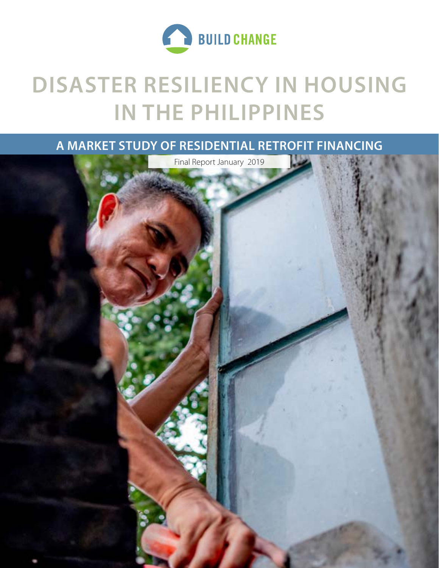

# **DISASTER RESILIENCY IN HOUSING IN THE PHILIPPINES**

# **A MARKET STUDY OF RESIDENTIAL RETROFIT FINANCING**



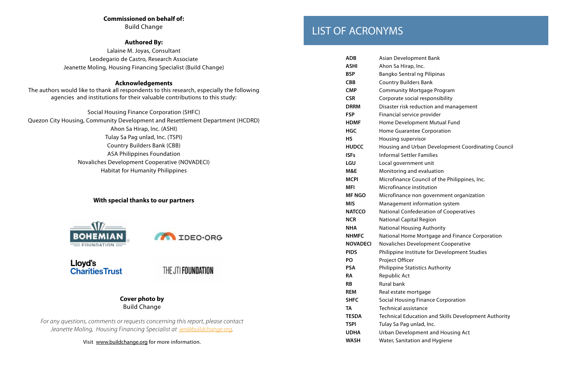# **Commissioned on behalf of:**

Build Change

# **Authored By:**

Lalaine M. Joyas, Consultant Leodegario de Castro, Research Associate Jeanette Moling, Housing Financing Specialist (Build Change)

# **Acknowledgements**

The authors would like to thank all respondents to this research, especially the following agencies and institutions for their valuable contributions to this study:

| Social Housing Finance Corporation (SHFC)                                      |
|--------------------------------------------------------------------------------|
| Quezon City Housing, Community Development and Resettlement Department (HCDRD) |
| Ahon Sa Hirap, Inc. (ASHI)                                                     |
| Tulay Sa Pag unlad, Inc. (TSPI)                                                |
| <b>Country Builders Bank (CBB)</b>                                             |
| <b>ASA Philippines Foundation</b>                                              |
| Novaliches Development Cooperative (NOVADECI)                                  |
| <b>Habitat for Humanity Philippines</b>                                        |
|                                                                                |

# **With special thanks to our partners**





Lloyd's **Charities Trust** 

THE JTI FOUNDATION

# **Cover photo by**  Build Change

*For any questions, comments or requests concerning this report, please contact Jeanette Moling, Housing Financing Specialist at jen@buildchange.org.* 

Visit www.buildchange.org for more information.

# LIST OF ACRONYMS

| <b>ADB</b>      | <b>Asian Development Bank</b>               |
|-----------------|---------------------------------------------|
| <b>ASHI</b>     | Ahon Sa Hirap, Inc.                         |
| <b>BSP</b>      | <b>Bangko Sentral ng Pilipinas</b>          |
| <b>CBB</b>      | <b>Country Builders Bank</b>                |
| <b>CMP</b>      | <b>Community Mortgage Program</b>           |
| <b>CSR</b>      | Corporate social responsibility             |
| <b>DRRM</b>     | Disaster risk reduction and management      |
| <b>FSP</b>      | Financial service provider                  |
| <b>HDMF</b>     | Home Development Mutual Fund                |
| <b>HGC</b>      | <b>Home Guarantee Corporation</b>           |
| <b>HS</b>       | Housing supervisor                          |
| <b>HUDCC</b>    | Housing and Urban Development Coordir       |
| <b>ISFs</b>     | <b>Informal Settler Families</b>            |
| <b>LGU</b>      | Local government unit                       |
| M&E             | Monitoring and evaluation                   |
| <b>MCPI</b>     | Microfinance Council of the Philippines, li |
| <b>MFI</b>      | Microfinance institution                    |
| <b>MF NGO</b>   | Microfinance non government organizati      |
| <b>MIS</b>      | Management information system               |
| <b>NATCCO</b>   | National Confederation of Cooperatives      |
| <b>NCR</b>      | <b>National Capital Region</b>              |
| <b>NHA</b>      | <b>National Housing Authority</b>           |
| <b>NHMFC</b>    | National Home Mortgage and Finance Co       |
| <b>NOVADECI</b> | Novaliches Development Cooperative          |
| <b>PIDS</b>     | Philippine Institute for Development Stuc   |
| PO              | Project Officer                             |
| <b>PSA</b>      | <b>Philippine Statistics Authority</b>      |
| <b>RA</b>       | Republic Act                                |
| <b>RB</b>       | <b>Rural bank</b>                           |
| <b>REM</b>      | Real estate mortgage                        |
| <b>SHFC</b>     | <b>Social Housing Finance Corporation</b>   |
| TA              | <b>Technical assistance</b>                 |
| <b>TESDA</b>    | Technical Education and Skills Developm     |
| <b>TSPI</b>     | Tulay Sa Pag unlad, Inc.                    |
| <b>UDHA</b>     | <b>Urban Development and Housing Act</b>    |
| <b>WASH</b>     | Water, Sanitation and Hygiene               |

- 
- 
- 
- 
- 
- 
- 
- 
- 
- 
- 
- **HUDCC** Housing and Urban Development Coordinating Council
	-
	-
	-
- **MCPI** Microfinance Council of the Philippines, Inc.
	-
- **MF NGO** Microfinance non government organization
	-
	-
	-
	-
- **NHMFC** National Home Mortgage and Finance Corporation
	-
- **PIDS** Philippine Institute for Development Studies
	-
	-
	-
	-
- **TESDA** Technical Education and Skills Development Authority
	-
	-
	-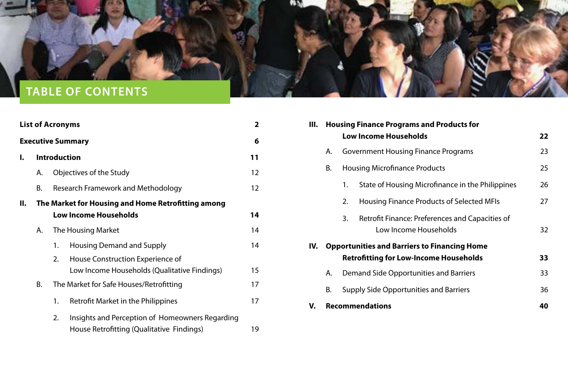| <b>List of Acronyms</b> |    | $\overline{\mathbf{2}}$                               | <b>Housing Finance Programs and Products for</b><br>III. |                                                              |
|-------------------------|----|-------------------------------------------------------|----------------------------------------------------------|--------------------------------------------------------------|
|                         |    | <b>Executive Summary</b>                              | 6                                                        | <b>Low Income Households</b><br>22                           |
| L.                      |    | <b>Introduction</b>                                   | 11                                                       | <b>Government Housing Finance Programs</b><br>23<br>Α.       |
|                         | А. | Objectives of the Study                               | 12                                                       | <b>Housing Microfinance Products</b><br>25<br>Β.             |
|                         | В. | <b>Research Framework and Methodology</b>             | 12                                                       | State of Housing Microfinance in the Philippines<br>26       |
| II.                     |    | The Market for Housing and Home Retrofitting among    |                                                          | 27<br><b>Housing Finance Products of Selected MFIs</b><br>2. |
|                         |    | <b>Low Income Households</b>                          | 14                                                       | Retrofit Finance: Preferences and Capacities of<br>3.        |
|                         | Α. | The Housing Market                                    | 14                                                       | Low Income Households<br>32                                  |
|                         |    | <b>Housing Demand and Supply</b><br>1.                | 14                                                       | <b>Opportunities and Barriers to Financing Home</b><br>IV.   |
|                         |    | House Construction Experience of<br>2.                |                                                          | <b>Retrofitting for Low-Income Households</b><br>33          |
|                         |    | Low Income Households (Qualitative Findings)          | 15                                                       | Demand Side Opportunities and Barriers<br>33<br>A.           |
|                         | B. | The Market for Safe Houses/Retrofitting               | 17                                                       | В.<br><b>Supply Side Opportunities and Barriers</b><br>36    |
|                         |    | <b>Retrofit Market in the Philippines</b><br>1.       | 17                                                       | <b>Recommendations</b><br>40<br>V.                           |
|                         |    | Insights and Perception of Homeowners Regarding<br>2. |                                                          |                                                              |
|                         |    | House Retrofitting (Qualitative Findings)             | 19                                                       |                                                              |

<span id="page-2-0"></span>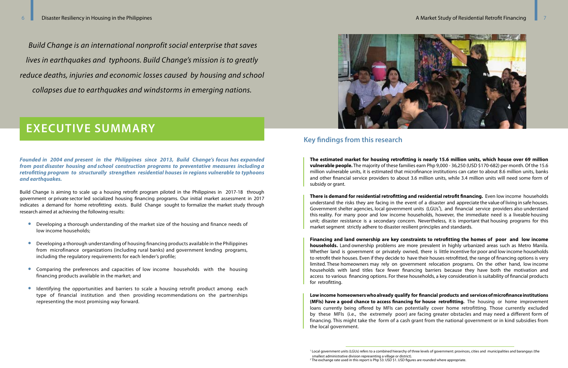*Founded in 2004 and present in the Philippines since 2013, Build Change's focus has expanded from post disaster housing and school construction programs to preventative measures including a retrofitting program to structurally strengthen residential houses in regions vulnerable to typhoons and earthquakes.* 

Build Change is aiming to scale up a housing retrofit program piloted in the Philippines in 2017-18 through government or private sector led socialized housing financing programs. Our initial market assessment in 2017 indicates a demand for home retrofitting exists. Build Change sought to formalize the market study through research aimed at achieving the following results:

- Developing a thorough understanding of the market size of the housing and finance needs of low income households;
- Developing a thorough understanding of housing financing products available in the Philippines from microfinance organizations (including rural banks) and government lending programs, including the regulatory requirements for each lender's profile;
- Comparing the preferences and capacities of low income households with the housing financing products available in the market; and
- Identifying the opportunities and barriers to scale a housing retrofit product among each type of financial institution and then providing recommendations on the partnerships representing the most promising way forward.



**The estimated market for housing retrofitting is nearly 15.6 million units, which house over 69 million vulnerable people.** The majority of these families earn Php 9,000 - 36,250 (USD \$170-682) per month. Of the 15.6 million vulnerable units, it is estimated that microfinance institutions can cater to about 8.6 million units, banks and other financial service providers to about 3.6 million units, while 3.4 million units will need some form of subsidy or grant.

**There is demand for residential retrofitting and residential retrofit financing.** Even low income households understand the risks they are facing in the event of a disaster and appreciate the value of living in safe houses. Government shelter agencies, local government units (LGUs<sup>1</sup>), and financial service providers also understand this reality. For many poor and low income households, however, the immediate need is a liveable housing unit; disaster resistance is a secondary concern. Nevertheless, it is important that housing programs for this market segment strictly adhere to disaster resilient principles and standards.

**Financing and land ownership are key constraints to retrofitting the homes of poor and low income households.** Land ownership problems are more prevalent in highly urbanized areas such as Metro Manila. Whether land is government or privately owned, there is little incentive for poor and low income households to retrofit their houses. Even if they decide to have their houses retrofitted, the range of financing options is very limited. These homeowners may rely on government relocation programs. On the other hand, low income households with land titles face fewer financing barriers because they have both the motivation and access to various financing options. For these households, a key consideration is suitability of financial products for retrofitting.

**Low income homeowners who already qualify for financial products and services of microfinance institutions (MFIs) have a good chance to access financing for house retrofitting.** The housing or home improvement loans currently being offered by MFIs can potentially cover home retrofitting. Those currently excluded by these MFIs (i.e., the extremely poor) are facing greater obstacles and may need a different form of financing. This might take the form of a cash grant from the national government or in kind subsidies from the local government.

*Build Change is an international nonprofit social enterprise that saves lives in earthquakes and typhoons. Build Change's mission is to greatly reduce deaths, injuries and economic losses caused by housing and school collapses due to earthquakes and windstorms in emerging nations.* 

# **EXECUTIVE SUMMARY**

# **Key findings from this research**

<sup>1</sup> Local government units (LGUs) refers to a combined hierarchy of three levels of government: provinces, cities and municipalities and barangays (the smallest administrative division representing a village or district). <sup>2</sup> The exchange rate used in this report is Php 53: USD \$1. USD figures are rounded where appropriate.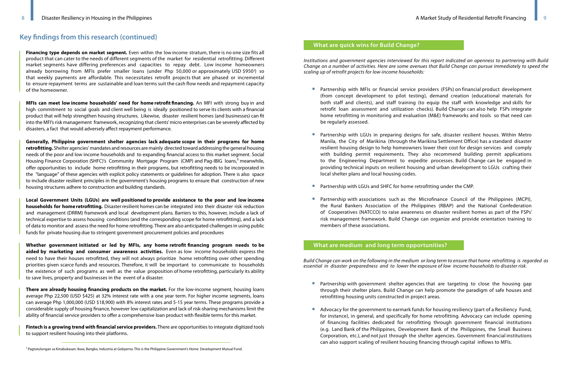# **Key findings from this research (continued)**

*Build Change can work on the following in the medium or long term to ensure that home retrofitting is regarded as essential in disaster preparedness and to lower the exposure of low income households to disaster risk.* 

• Partnership with government shelter agencies that are targeting to close the housing gap through their shelter plans. Build Change can help promote the paradigm of safe houses and

• Advocacy for the government to earmark funds for housing resiliency (part of a Resiliency Fund, for instance), in general, and specifically for home retrofitting. Advocacy can include opening of financing facilities dedicated for retrofitting through government financial institutions (e.g. Land Bank of the Philippines, Development Bank of the Philippines, the Small Business Corporation, etc.), and not just through the shelter agencies. Government financial institutions

- retrofitting housing units constructed in project areas.
- can also support scaling of resilient housing financing through capital inflows to MFIs.

• Partnership with MFIs or financial service providers (FSPs) on financial product development (from concept development to pilot testing), demand creation (educational materials for both staff and clients), and staff training (to equip the staff with knowledge and skills for retrofit loan assessment and utilization checks). Build Change can also help FSPs integrate home retrofitting in monitoring and evaluation (M&E) frameworks and tools so that need can

• Partnership with LGUs in preparing designs for safe, disaster resilient houses. Within Metro Manila, the City of Marikina (through the Marikina Settlement Office) has a standard disaster resilient housing design to help homeowners lower their cost for design services and comply with building permit requirements. They also recommend building permit applications to the Engineering Department to expedite processes. Build Change can be engaged in providing technical inputs on resilient housing and urban development to LGUs crafting their

*Institutions and government agencies interviewed for this report indicated an openness to partnering with Build Change on a number of activities. Here are some avenues that Build Change can pursue immediately to speed the scaling up of retrofit projects for low-income households:*

• Partnership with associations such as the Microfinance Council of the Philippines (MCPI), the Rural Bankers Association of the Philippines (RBAP) and the National Confederation of Cooperatives (NATCCO) to raise awareness on disaster resilient homes as part of the FSPs' risk management framework. Build Change can organize and provide orientation training to

- be regularly assessed.
- local shelter plans and local housing codes.
- Partnership with LGUs and SHFC for home retrofitting under the CMP.
- members of these associations.

**Financing type depends on market segment.** Even within the low income stratum, there is no one size fits all product that can cater to the needs of different segments of the market for residential retrofitting. Different market segments have differing preferences and capacities to repay debt. Low income homeowners already borrowing from MFIs prefer smaller loans (under Php 50,000 or approximately USD \$950<sup>2</sup>) so that weekly payments are affordable. This necessitates retrofit projects that are phased or incremental to ensure repayment terms are sustainable and loan terms suit the cash flow needs and repayment capacity of the homeowner.

**MFIs can meet low income households' need for home retrofit financing.** An MFI with strong buy in and high commitment to social goals and client well being is ideally positioned to serve its clients with a financial product that will help strengthen housing structures. Likewise, disaster resilient homes (and businesses) can fit into the MFI's risk management framework, recognizing that clients' micro enterprises can be severely affected by disasters, a fact that would adversely affect repayment performance.

**Generally, Philippine government shelter agencies lack adequate scope in their programs for home retrofitting.** Shelter agencies' mandates and resources are mainly directed toward addressing the general housing needs of the poor and low income households and to expanding financial access to this market segment. Social Housing Finance Corporation (SHFC)'s Community Mortgage Program (CMP) and Pag-IBIG loans,<sup>3</sup> meanwhile, offer opportunities to include home retrofitting in their programs, but retrofitting needs to be incorporated in the "language" of these agencies with explicit policy statements or guidelines for adoption. There is also space to include disaster resilient principles in the government's housing programs to ensure that construction of new housing structures adhere to construction and building standards.

**Local Government Units (LGUs) are well positioned to provide assistance to the poor and low income households for home retrofitting.** Disaster resilient homes can be integrated into their disaster risk reduction and management (DRRM) framework and local development plans. Barriers to this, however, include a lack of technical expertise to assess housing conditions (and the corresponding scope for home retrofitting), and a lack of data to monitor and assess the need for home retrofitting. There are also anticipated challenges in using public funds for private housing due to stringent government procurement policies and procedures

**Whether government initiated or led by MFIs, any home retrofit financing program needs to be aided by marketing and consumer awareness activities.** Even as low income households express the need to have their houses retrofitted, they will not always prioritize home retrofitting over other spending priorities given scarce funds and resources. Therefore, it will be important to communicate to households the existence of such programs as well as the value proposition of home retrofitting, particularly its ability to save lives, property and businesses in the event of a disaster.

**There are already housing financing products on the market.** For the low-income segment, housing loans average Php 22,500 (USD \$425) at 32% interest rate with a one year term. For higher income segments, loans can average Php 1,000,000 (USD \$18,900) with 8% interest rates and 5-15 year terms. These programs provide a considerable supply of housing finance, however low capitalization and lack of risk-sharing mechanisms limit the ability of financial service providers to offer a comprehensive loan product with flexible terms for this market.

**Fintech is a growing trend with financial service providers.** There are opportunities to integrate digitized tools to support resilient housing into their platforms.

# **What are quick wins for Build Change?**

## **What are medium and long term opportunities?**

<sup>&</sup>lt;sup>3</sup> Pagtutulungan sa Kinabukasan: Ikaw, Bangko, Industria at Gobyerno. This is the Philippine Government's Home Development Mutual Fund.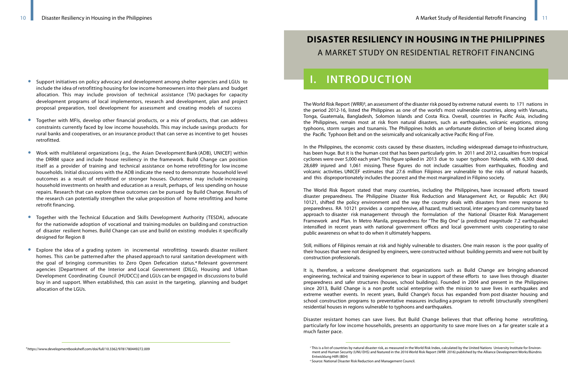- Support initiatives on policy advocacy and development among shelter agencies and LGUs to include the idea of retrofitting housing for low income homeowners into their plans and budget allocation. This may include provision of technical assistance (TA) packages for capacity development programs of local implementors, research and development, plan and project proposal preparation, tool development for assessment and creating models of success
- Together with MFIs, develop other financial products, or a mix of products, that can address constraints currently faced by low income households. This may include savings products for rural banks and cooperatives, or an insurance product that can serve as incentive to get houses retrofitted.
- Work with multilateral organizations [e.g., the Asian Development Bank (ADB), UNICEF] within the DRRM space and include house resiliency in the framework. Build Change can position itself as a provider of training and technical assistance on home retrofitting for low income households. Initial discussions with the ADB indicate the need to demonstrate household level outcomes as a result of retrofitted or stronger houses. Outcomes may include increasing household investments on health and education as a result, perhaps, of less spending on house repairs. Research that can explore these outcomes can be pursued by Build Change. Results of the research can potentially strengthen the value proposition of home retrofitting and home retrofit financing.
- Together with the Technical Education and Skills Development Authority (TESDA), advocate for the nationwide adoption of vocational and training modules on building and construction of disaster resilient homes. Build Change can use and build on existing modules it specifically designed for Region 8
- Explore the idea of a grading system in incremental retrofitting towards disaster resilient homes. This can be patterned after the phased approach to rural sanitation development with the goal of bringing communities to Zero Open Defecation status.4 Relevant government agencies [Department of the Interior and Local Government (DILG), Housing and Urban Development Coordinating Council (HUDCC)] and LGUs can be engaged in discussions to build buy in and support. When established, this can assist in the targeting, planning and budget allocation of the LGUs.

The World Risk Report (WRR)<sup>5</sup>, an assessment of the disaster risk posed by extreme natural events to 171 nations in the period 2012-16, listed the Philippines as one of the world's most vulnerable countries, along with Vanuatu, Tonga, Guatemala, Bangladesh, Solomon Islands and Costa Rica. Overall, countries in Pacific Asia, including the Philippines, remain most at risk from natural disasters, such as earthquakes, volcanic eruptions, strong typhoons, storm surges and tsunamis. The Philippines holds an unfortunate distinction of being located along the Pacific Typhoon Belt and on the seismically and volcanically active Pacific Ring of Fire.

In the Philippines, the economic costs caused by these disasters, including widespread damage to infrastructure, has been huge. But it is the human cost that has been particularly grim. In 2011 and 2012, casualties from tropical cyclones were over 5,000 each year6. This figure spiked in 2013 due to super typhoon Yolanda, with 6,300 dead, 28,689 injured and 1,061 missing. These figures do not include casualties from earthquakes, flooding and volcanic activities. UNICEF estimates that 27.6 million Filipinos are vulnerable to the risks of natural hazards, and this disproportionately includes the poorest and the most marginalized in Filipino society.

The World Risk Report stated that many countries, including the Philippines, have increased efforts toward disaster preparedness. The Philippine Disaster Risk Reduction and Management Act, or Republic Act (RA) 10121, shifted the policy environment and the way the country deals with disasters from mere response to preparedness. RA 10121 provides a comprehensive, all hazard, multi sectoral, inter agency and community based approach to disaster risk management through the formulation of the National Disaster Risk Management Framework and Plan. In Metro Manila, preparedness for "The Big One" (a predicted magnitude 7.2 earthquake) intensified in recent years with national government offices and local government units cooperating to raise public awareness on what to do when it ultimately happens.

Still, millions of Filipinos remain at risk and highly vulnerable to disasters. One main reason is the poor quality of their houses that were not designed by engineers, were constructed without building permits and were not built by construction professionals.

It is, therefore, a welcome development that organizations such as Build Change are bringing advanced engineering, technical and training experience to bear in support of these efforts to save lives through disaster preparedness and safer structures (houses, school buildings). Founded in 2004 and present in the Philippines since 2013, Build Change is a non profit social enterprise with the mission to save lives in earthquakes and extreme weather events. In recent years, Build Change's focus has expanded from post disaster housing and school construction programs to preventative measures including a program to retrofit (structurally strengthen) residential houses in regions vulnerable to typhoons and earthquakes.

Disaster resistant homes can save lives. But Build Change believes that that offering home retrofitting, particularly for low income households, presents an opportunity to save more lives on a far greater scale at a much faster pace.

# **DISASTER RESILIENCY IN HOUSING IN THE PHILIPPINES**  A MARKET STUDY ON RESIDENTIAL RETROFIT FINANCING

# **I. INTRODUCTION**

<sup>&</sup>lt;sup>5</sup> This is a list of countries by natural disaster risk, as measured in the World Risk Index, calculated by the United Nations University Institute for Environment and Human Security (UNU EHS) and featured in the 2016 World Risk Report (WRR 2016) published by the Alliance Development Works/Bündnis Entwicklung Hilft (BEH)

<sup>6</sup> Source: National Disaster Risk Reduction and Management Council.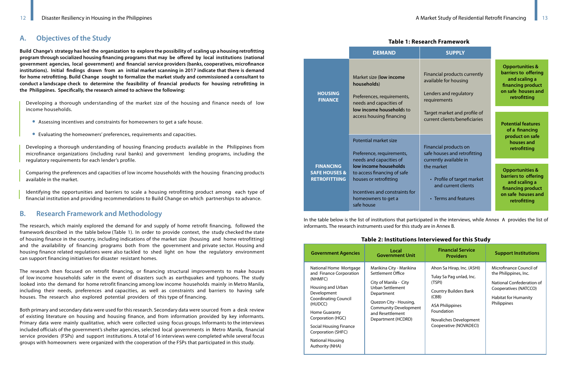**Build Change's strategy has led the organization to explore the possibility of scaling up a housing retrofitting program through socialized housing financing programs that may be offered by local institutions (national government agencies, local government) and financial service providers (banks, cooperatives, microfinance institutions). Initial findings drawn from an initial market scanning in 2017 indicate that there is demand for home retrofitting. Build Change sought to formalize the market study and commissioned a consultant to conduct a landscape check to determine the feasibility of financial products for housing retrofitting in the Philippines. Specifically, the research aimed to achieve the following:**

Developing a thorough understanding of the market size of the housing and finance needs of low income households.

- Assessing incentives and constraints for homeowners to get a safe house.
- Evaluating the homeowners' preferences, requirements and capacities.

Developing a thorough understanding of housing financing products available in the Philippines from microfinance organizations (including rural banks) and government lending programs, including the regulatory requirements for each lender's profile.

Comparing the preferences and capacities of low income households with the housing financing products available in the market.

Identifying the opportunities and barriers to scale a housing retrofitting product among each type of financial institution and providing recommendations to Build Change on which partnerships to advance.

The research, which mainly explored the demand for and supply of home retrofit financing, followed the framework described in the table below (Table 1). In order to provide context, the study checked the state of housing finance in the country, including indications of the market size (housing and home retrofitting) and the availability of financing programs both from the government and private sector. Housing and housing finance related regulations were also tackled to shed light on how the regulatory environment can support financing initiatives for disaster resistant homes.

The research then focused on retrofit financing, or financing structural improvements to make houses of low income households safer in the event of disasters such as earthquakes and typhoons. The study looked into the demand for home retrofit financing among low income households mainly in Metro Manila, including their needs, preferences and capacities, as well as constraints and barriers to having safe houses. The research also explored potential providers of this type of financing.

Both primary and secondary data were used for this research. Secondary data were sourced from a desk review of existing literature on housing and housing finance, and from information provided by key informants. Primary data were mainly qualitative, which were collected using focus groups. Informants to the interviews included officials of the government's shelter agencies, selected local governments in Metro Manila, financial service providers (FSPs) and support institutions. A total of 16 interviews were completed while several focus groups with homeowners were organized with the cooperation of the FSPs that participated in this study.

### **Table 1: Research Framework**

| search Framework |  |
|------------------|--|
|------------------|--|

| <b>Government Agencies</b>                                                                                                                                                                                                                                                                   | Local<br><b>Government Unit</b>                                                                                                                                                                              | <b>Financial Service</b><br><b>Providers</b>                                                                                                                                                          | <b>Support Institutions</b>                                                                                                                   |
|----------------------------------------------------------------------------------------------------------------------------------------------------------------------------------------------------------------------------------------------------------------------------------------------|--------------------------------------------------------------------------------------------------------------------------------------------------------------------------------------------------------------|-------------------------------------------------------------------------------------------------------------------------------------------------------------------------------------------------------|-----------------------------------------------------------------------------------------------------------------------------------------------|
| National Home Mortgage<br>and Finance Corporation<br>(NHMFC)<br>Housing and Urban<br>Development<br><b>Coordinating Council</b><br>(HUDCC)<br><b>Home Guaranty</b><br>Corporation (HGC)<br><b>Social Housing Finance</b><br>Corporation (SHFC)<br><b>National Housing</b><br>Authority (NHA) | Marikina City - Marikina<br>Settlement Office<br>City of Manila - City<br>Urban Settlement<br>Department<br>Quezon City - Housing,<br><b>Community Development</b><br>and Resettlement<br>Department (HCDRD) | Ahon Sa Hirap, Inc. (ASHI)<br>Tulay Sa Pag unlad, Inc.<br>(TSPI)<br><b>Country Builders Bank</b><br>(CBB)<br><b>ASA Philippines</b><br>Foundation<br>Novaliches Development<br>Cooperative (NOVADECI) | Microfinance Council of<br>the Philippines, Inc.<br>National Confederation of<br>Cooperatives (NATCCO)<br>Habitat for Humanity<br>Philippines |

| IGDIE IIIESEGILIIIIGIIIEWUIN                                         |                                                                                                                                                                                  |                                                                                                                   |                                                                                                                                |  |
|----------------------------------------------------------------------|----------------------------------------------------------------------------------------------------------------------------------------------------------------------------------|-------------------------------------------------------------------------------------------------------------------|--------------------------------------------------------------------------------------------------------------------------------|--|
|                                                                      | <b>DEMAND</b>                                                                                                                                                                    | <b>SUPPLY</b>                                                                                                     |                                                                                                                                |  |
| <b>HOUSING</b><br><b>FINANCE</b>                                     | Market size (low income<br>households)<br>Preferences, requirements,<br>needs and capacities of<br>low income households to                                                      | Financial products currently<br>available for housing<br>Lenders and regulatory<br>requirements                   | <b>Opportunities &amp;</b><br>barriers to offering<br>and scaling a<br>financing product<br>on safe houses and<br>retrofitting |  |
|                                                                      | access housing financing                                                                                                                                                         | Target market and profile of<br>current clients/beneficiaries                                                     | <b>Potential features</b><br>of a financing                                                                                    |  |
|                                                                      | Potential market size<br>Preference, requirements,                                                                                                                               | Financial products on<br>safe houses and retrofitting                                                             | product on safe<br>houses and<br>retrofitting                                                                                  |  |
| <b>FINANCING</b><br><b>SAFE HOUSES &amp;</b><br><b>RETROFITTIING</b> | needs and capacities of<br>low income households<br>to access financing of safe<br>houses or retrofitting<br>Incentives and constraints for<br>homeowners to get a<br>safe house | currently available in<br>the market<br>• Profile of target market<br>and current clients<br>• Terms and features | <b>Opportunities &amp;</b><br>barriers to offering<br>and scaling a<br>financing product<br>on safe houses and<br>retrofitting |  |

In the table below is the list of institutions that participated in the interviews, while Annex A provides the list of informants. The research instruments used for this study are in Annex B.

# **Table 2: Institutions Interviewed for this Study**

# **A. Objectives of the Study**

# **B. Research Framework and Methodology**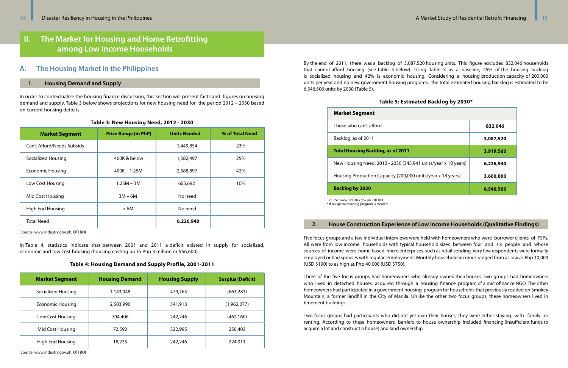In order to contextualize the housing finance discussion, this section will present facts and figures on housing demand and supply. Table 3 below shows projections for new housing need for the period 2012 – 2030 based on current housing deficits.

### **Table 3: New Housing Need, 2012 - 2030**

In Table 4, statistics indicate that between 2001 and 2011 a deficit existed in supply for socialized, economic and low cost housing (housing costing up to Php 3 million or \$56,600).

## **Table 4: Housing Demand and Supply Profile, 2001-2011**

# **II. The Market for Housing and Home Retrofitting among Low Income Households**

By the end of 2011, there was a backlog of 3,087,520 housing units. This figure excludes 832,046 households that cannot afford housing (see Table 5 below). Using Table 3 as a baseline, 25% of the housing backlog is socialized housing and 42% is economic housing. Considering a housing production capacity of 200,000 units per year and no new government housing programs, the total estimated housing backlog is estimated to be 6,546,506 units by 2030 (Table 5).

# **Table 5: Estimated Backlog by 2030\***

# **Revenue Creation 2. House Construction Experience of Low Income Households (Qualitative Findings)**

# **1. Housing Demand and Supply**

# **A. The Housing Market in the Philippines**

| <b>Market Segment</b>      | <b>Price Range (in PhP)</b> | <b>Units Needed</b> | % of Total Need |
|----------------------------|-----------------------------|---------------------|-----------------|
| Can't Afford/Needs Subsidy |                             | 1,449,854           | 23%             |
| Socialized Housing         | 400K & below                | 1,582,497           | 25%             |
| <b>Economic Housing</b>    | $400K - 1.25M$              | 2,588,897           | 42%             |
| Low Cost Housing           | $1.25M - 3M$                | 605,692             | 10%             |
| Mid Cost Housing           | $3M - 6M$                   | No need             |                 |
| High End Housing           | >6M                         | No need             |                 |
| <b>Total Need</b>          |                             | 6,226,940           |                 |

Source: www.industry.gov.ph, DTI BOI

Five focus groups and a few individual interviews were held with homeowners who were borrower clients of FSPs. All were from low income households with typical household sizes between four and six people and whose sources of income were home based micro enterprises such as retail vending. Very few respondents were formally employed or had spouses with regular employment. Monthly household incomes ranged from as low as Php 10,000 (USD \$190) to as high as Php 40,000 (USD \$750).

Three of the five focus groups had homeowners who already owned their houses. Two groups had homeowners who lived in detached houses, acquired through a housing finance program of a microfinance NGO. The other homeowners had participated in a government housing program for households that previously resided on Smokey Mountain, a former landfill in the City of Manila. Unlike the other two focus groups, these homeowners lived in tenement buildings.

Two focus groups had participants who did not yet own their houses, they were either staying with family or renting. According to these homeowners, barriers to house ownership included financing (insufficient funds to acquire a lot and construct a house) and land ownership.

| <b>Market Segment</b>   | <b>Housing Demand</b> | <b>Housing Supply</b> | <b>Surplus (Deficit)</b> |
|-------------------------|-----------------------|-----------------------|--------------------------|
| Socialized Housing      | 1,143,048             | 479,765               | (663, 283)               |
| <b>Economic Housing</b> | 2,503,990             | 541,913               | (1,962,077)              |
| Low Cost Housing        | 704,406               | 242,246               | (462, 160)               |
| Mid Cost Housing        | 72,592                | 322,995               | 250,403                  |
| High End Housing        | 18,235                | 242,246               | 224,011                  |

Source: www.industry.gov.ph, DTI BOI

| <b>Market Segment</b>                                                               |           |
|-------------------------------------------------------------------------------------|-----------|
| Those who can't afford                                                              | 832,046   |
| Backlog, as of 2011                                                                 | 3,087,520 |
| <b>Total Housing Backlog, as of 2011</b>                                            | 3,919,566 |
| New Housing Need, 2012 - 2030 (345,941 units/year x 18 years)                       | 6,226,940 |
| Housing Production Capacity (200,000 units/year x 18 years)                         | 3,600,000 |
| <b>Backlog by 2030</b>                                                              | 6,546,506 |
| Source: www.industry.gov.ph, DTI BOI<br>* If no special housing program is created. |           |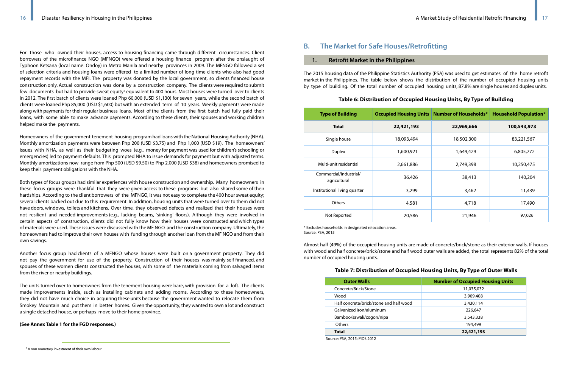| <b>Type of Building</b>                |            | <b>Occupied Housing Units   Number of Households*</b> | <b>Household Population*</b> |
|----------------------------------------|------------|-------------------------------------------------------|------------------------------|
| <b>Total</b>                           | 22,421,193 | 22,969,666                                            | 100,543,973                  |
| Single house                           | 18,093,494 | 18,502,300                                            | 83,221,567                   |
| <b>Duplex</b>                          | 1,600,921  | 1,649,429                                             | 6,805,772                    |
| Multi-unit residential                 | 2,661,886  | 2,749,398                                             | 10,250,475                   |
| Commercial/industrial/<br>agricultural | 36,426     | 38,413                                                | 140,204                      |
| Institutional living quarter           | 3,299      | 3,462                                                 | 11,439                       |
| <b>Others</b>                          | 4,581      | 4,718                                                 | 17,490                       |
| Not Reported                           | 20,586     | 21,946                                                | 97,026                       |

\* Excludes households in designated relocation areas. Source: PSA, 2015

| <b>Outer Walls</b>                      | <b>Number of Occupied Housing Units</b> |
|-----------------------------------------|-----------------------------------------|
| Concrete/Brick/Stone                    | 11,035,032                              |
| Wood                                    | 3,909,408                               |
| Half concrete/brick/stone and half wood | 3,430,114                               |
| Galvanized iron/aluminum                | 226,647                                 |
| Bamboo/sawali/cogon/nipa                | 3,543,338                               |
| <b>Others</b>                           | 194,499                                 |
| <b>Total</b>                            | 22,421,193                              |
| Source: PSA, 2015; PIDS 2012            |                                         |

7 A non monetary investment of their own labour

### **1. Retrofit Market in the Philippines**

# **B. The Market for Safe Houses/Retrofitting**

For those who owned their houses, access to housing financing came through different circumstances. Client borrowers of the microfinance NGO (MFNGO) were offered a housing finance program after the onslaught of Typhoon Ketsana (local name: Ondoy) in Metro Manila and nearby provinces in 2009. The MFNGO followed a set of selection criteria and housing loans were offered to a limited number of long time clients who also had good repayment records with the MFI. The property was donated by the local government, so clients financed house construction only. Actual construction was done by a construction company. The clients were required to submit few documents but had to provide sweat equity<sup>7</sup> equivalent to 400 hours. Most houses were turned over to clients in 2012. The first batch of clients were loaned Php 60,000 (USD \$1,130) for seven years, while the second batch of clients were loaned Php 85,000 (USD \$1,600) but with an extended term of 10 years. Weekly payments were made along with payments for their regular business loans. Most of the clients from the first batch had fully paid their loans, with some able to make advance payments. According to these clients, their spouses and working children helped make the payments.

Homeowners of the government tenement housing program had loans with the National Housing Authority (NHA). Monthly amortization payments were between Php 200 (USD \$3.75) and Php 1,000 (USD \$19). The homeowners' issues with NHA, as well as their budgeting woes (e.g., money for payment was used for children's schooling or emergencies) led to payment defaults. This prompted NHA to issue demands for payment but with adjusted terms. Monthly amortizations now range from Php 500 (USD \$9.50) to Php 2,000 (USD \$38) and homeowners promised to keep their payment obligations with the NHA.

Both types of focus groups had similar experiences with house construction and ownership. Many homeowners in these focus groups were thankful that they were given access to these programs but also shared some of their hardships. According to the client borrowers of the MFNGO, it was not easy to complete the 400 hour sweat equity; several clients backed out due to this requirement. In addition, housing units that were turned over to them did not have doors, windows, toilets and kitchens. Over time, they observed defects and realized that their houses were not resilient and needed improvements (e.g., lacking beams, 'sinking' floors). Although they were involved in certain aspects of construction, clients did not fully know how their houses were constructed and which types of materials were used. These issues were discussed with the MF NGO and the construction company. Ultimately, the homeowners had to improve their own houses with funding through another loan from the MF NGO and from their own savings.

Another focus group had clients of a MFNGO whose houses were built on a government property. They did not pay the government for use of the property. Construction of their houses was mainly self financed, and spouses of these women clients constructed the houses, with some of the materials coming from salvaged items from the river or nearby buildings.

The units turned over to homeowners from the tenement housing were bare, with provision for a loft. The clients made improvements inside, such as installing cabinets and adding rooms. According to these homeowners, they did not have much choice in acquiring these units because the government wanted to relocate them from Smokey Mountain and put them in better homes. Given the opportunity, they wanted to own a lot and construct a single detached house, or perhaps move to their home province.

## **(See Annex Table 1 for the FGD responses.)**

The 2015 housing data of the Philippine Statistics Authority (PSA) was used to get estimates of the home retrofit market in the Philippines. The table below shows the distribution of the number of occupied housing units by type of building. Of the total number of occupied housing units, 87.8% are single houses and duplex units.

**Table 6: Distribution of Occupied Housing Units, By Type of Building** 

Almost half (49%) of the occupied housing units are made of concrete/brick/stone as their exterior walls. If houses with wood and half concrete/brick/stone and half wood outer walls are added, the total represents 82% of the total number of occupied housing units.

# **Table 7: Distribution of Occupied Housing Units, By Type of Outer Walls**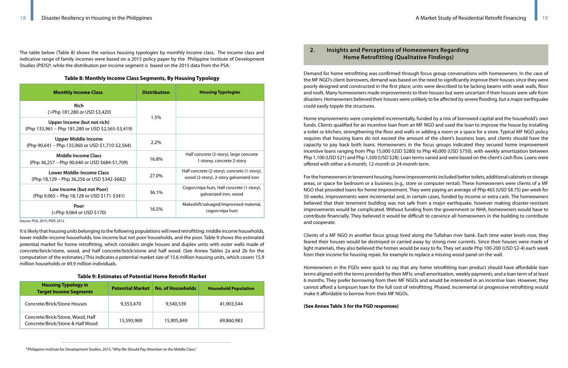# **2. Insights and Perceptions of Homeowners Regarding**

The table below (Table 8) shows the various housing typologies by monthly income class. The income class and<br>indicative range of family incomes were based on a 2015 policy paper by the Philippine Institute of Development indicative range of family incomes were based on a 2015 policy paper by the Philippine Institute of Development Studies (PIDS)8, while the distribution per income segment is based on the 2015 data from the PSA.

### **Table 8: Monthly Income Class Segments, By Housing Typology**

It is likely that housing units belonging to the following populations will need retrofitting: middle income households, lower middle-income households, low income but not poor households, and the poor. Table 9 shows the estimated potential market for home retrofitting, which considers single houses and duplex units with outer walls made of concrete/brick/stone, wood, and half concrete/brick/stone and half wood. (See Annex Tables 2a and 2b for the computation of the estimates.) This indicates a potential market size of 15.6 million housing units, which covers 15.9 million households or 69.9 million individuals.

### **Table 9: Estimates of Potential Home Retrofit Market**

Demand for home retrofitting was confirmed through focus group conversations with homeowners. In the case of the MF NGO's client-borrowers, demand was based on the need to significantly improve their houses since they were poorly designed and constructed in the first place; units were described to be lacking beams with weak walls, floor and roofs. Many homeowners made improvements to their houses but were uncertain if their houses were safe from disasters. Homeowners believed their houses were unlikely to be affected by severe flooding, but a major earthquake could easily topple the structures.

Home improvements were completed incrementally, funded by a mix of borrowed capital and the household's own funds. Clients qualified for an incentive loan from an MF NGO and used the loan to improve the house by installing a toilet or kitchen, strengthening the floor and walls or adding a room or a space for a store. Typical MF NGO policy requires that housing loans do not exceed the amount of the client's business loan, and clients should have the capacity to pay back both loans. Homeowners in the focus groups indicated they secured home improvement incentive loans ranging from Php 15,000 (USD \$280) to Php 40,000 (USD \$750), with weekly amortization between Php 1,100 (USD \$21) and Php 1,500 (USD \$28). Loan terms varied and were based on the client's cash flow. Loans were offered with either a 6-month, 12-month or 24-month term.

For the homeowners in tenement housing, home improvements included better toilets, additional cabinets or storage areas, or space for bedroom or a business (e.g., store or computer rental). These homeowners were clients of a MF NGO that provided loans for home improvement. They were paying an average of Php 465 (USD \$8.75) per week for 50 weeks. Improvements were incremental and, in certain cases, funded by income or extra cash. The homeowners believed that their tenement building was not safe from a major earthquake, however making disaster-resistant improvements would be complicated. Without funding from the government or NHA, homeowners would have to contribute financially. They believed it would be difficult to convince all homeowners in the building to contribute and cooperate.

Clients of a MF NGO in another focus group lived along the Tullahan river bank. Each time water levels rose, they feared their houses would be destroyed or carried away by strong river currents. Since their houses were made of light materials, they also believed the homes would be easy to fix. They set aside Php 100-200 (USD \$2-4) each week from their income for housing repair, for example to replace a missing wood panel on the wall.

Homeowners in the FGDs were quick to say that any home retrofitting loan product should have affordable loan terms aligned with the terms provided by their MFIs: small amortization, weekly payments, and a loan term of at least 6 months. They prefer borrowing from their MF NGOs and would be interested in an incentive loan. However, they cannot afford a lumpsum loan for the full cost of retrofitting. Phased, incremental or progressive retrofitting would make it affordable to borrow from their MF NGOs.

### **(See Annex Table 3 for the FGD responses)**

| <b>Monthly Income Class</b>                                                                                                                    | <b>Distribution</b> | <b>Housing Typologies</b>                                                               |
|------------------------------------------------------------------------------------------------------------------------------------------------|---------------------|-----------------------------------------------------------------------------------------|
| <b>Rich</b><br>(>Php 181,280 or USD \$3,420)                                                                                                   |                     |                                                                                         |
| Upper Income (but not rich)<br>(Php 135,961 – Php 181,280 or USD \$2,565-\$3,419)                                                              | 1.5%                |                                                                                         |
| <b>Upper Middle Income</b><br>(Php 90,641 - Php 135,960 or USD \$1,710-\$2,564)                                                                | 2.2%                |                                                                                         |
| Middle Income Class<br>(Php 36,257 – Php 90,640 or USD \$684-\$1,709)                                                                          | 16.8%               | Half concrete (2-story), large concrete<br>1-storey, concrete 2-story                   |
| Lower Middle-Income Class<br>(Php 18,129 – Php 36,256 or USD \$342-\$682)                                                                      | 27.0%               | Half concrete (2-story), concrete (1-story),<br>wood (2-story), 2-story galvanized iron |
| Low Income (but not Poor)<br>(Php 9,065 – Php 18,128 or USD \$171-\$341)                                                                       | 36.1%               | Cogon/nipa huts, Half concrete (1-story),<br>galvanized iron, wood                      |
| Poor<br>( <php \$170)<="" 9,064="" or="" td="" usd=""><td>16.5%</td><td>Makeshift/salvaged/improvised material,<br/>cogon/nipa huts</td></php> | 16.5%               | Makeshift/salvaged/improvised material,<br>cogon/nipa huts                              |

Source: PSA, 2015; PIDS 2012

| <b>Housing Typology in</b><br><b>Target Income Segments</b>          | <b>Potential Market</b> | <b>No. of Households</b> | <b>Household Population</b> |
|----------------------------------------------------------------------|-------------------------|--------------------------|-----------------------------|
| Concrete/Brick/Stone Houses                                          | 9,353,470               | 9,540,539                | 41,903,544                  |
| Concrete/Brick/Stone, Wood, Half<br>Concrete/Brick/Stone & Half Wood | 15,593,969              | 15,905,849               | 69,860,983                  |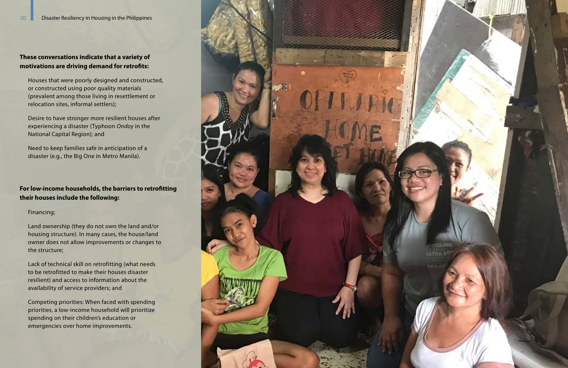# **These conversations indicate that a variety of motivations are driving demand for retrofits:**

Houses that were poorly designed and constructed, or constructed using poor quality materials (prevalent among those living in resettlement or relocation sites, informal settlers);

Desire to have stronger more resilient houses after experiencing a disaster (Typhoon *Ondoy* in the National Capital Region); and

Need to keep families safe in anticipation of a disaster (e.g., the Big One in Metro Manila).

# **For low-income households, the barriers to retrofitting their houses include the following:**

# Financing;

Land ownership (they do not own the land and/or housing structure). In many cases, the house/land owner does not allow improvements or changes to the structure;

Lack of technical skill on retrofitting (what needs to be retrofitted to make their houses disaster resilient) and access to information about the availability of service providers; and

Competing priorities: When faced with spending priorities, a low-income household will prioritize spending on their children's education or emergencies over home improvements.

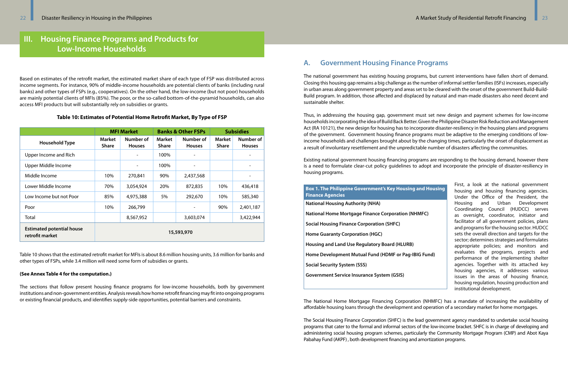# **III. Housing Finance Programs and Products for Low-Income Households**

Based on estimates of the retrofit market, the estimated market share of each type of FSP was distributed across income segments. For instance, 90% of middle-income households are potential clients of banks (including rural banks) and other types of FSPs (e.g., cooperatives). On the other hand, the low-income (but not poor) households are mainly potential clients of MFIs (85%). The poor, or the so-called bottom-of-the-pyramid households, can also access MFI products but will substantially rely on subsidies or grants.

#### **Table 10: Estimates of Potential Home Retrofit Market, By Type of FSP**

|                                                     |                               | <b>MFI Market</b><br><b>Banks &amp; Other FSPs</b> |                               | <b>Subsidies</b>           |                               |                            |
|-----------------------------------------------------|-------------------------------|----------------------------------------------------|-------------------------------|----------------------------|-------------------------------|----------------------------|
| <b>Household Type</b>                               | <b>Market</b><br><b>Share</b> | Number of<br><b>Houses</b>                         | <b>Market</b><br><b>Share</b> | Number of<br><b>Houses</b> | <b>Market</b><br><b>Share</b> | Number of<br><b>Houses</b> |
| Upper Income and Rich                               |                               |                                                    | 100%                          |                            |                               |                            |
| Upper Middle Income                                 |                               |                                                    | 100%                          |                            |                               |                            |
| Middle Income                                       | 10%                           | 270,841                                            | 90%                           | 2,437,568                  |                               |                            |
| Lower Middle Income                                 | 70%                           | 3,054,924                                          | 20%                           | 872,835                    | 10%                           | 436,418                    |
| Low Income but not Poor                             | 85%                           | 4,975,388                                          | 5%                            | 292,670                    | 10%                           | 585,340                    |
| Poor                                                | 10%                           | 266,799                                            |                               |                            | 90%                           | 2,401,187                  |
| Total                                               |                               | 8,567,952                                          |                               | 3,603,074                  |                               | 3,422,944                  |
| <b>Estimated potential house</b><br>retrofit market | 15,593,970                    |                                                    |                               |                            |                               |                            |

Table 10 shows that the estimated retrofit market for MFIs is about 8.6 million housing units, 3.6 million for banks and other types of FSPs, while 3.4 million will need some form of subsidies or grants.

#### **(See Annex Table 4 for the computation.)**

The sections that follow present housing finance programs for low-income households, both by government institutions and non-government entities. Analysis reveals how home retrofit financing may fit into ongoing programs or existing financial products, and identifies supply-side opportunities, potential barriers and constraints.

# **A. Government Housing Finance Programs**

The national government has existing housing programs, but current interventions have fallen short of demand. Closing this housing gap remains a big challenge as the number of informal settler families (ISFs) increases, especially in urban areas along government property and areas set to be cleared with the onset of the government Build-Build-Build program. In addition, those affected and displaced by natural and man-made disasters also need decent and sustainable shelter.

Thus, in addressing the housing gap, government must set new design and payment schemes for low-income households incorporating the idea of Build Back Better. Given the Philippine Disaster Risk Reduction and Management Act (RA 10121), the new design for housing has to incorporate disaster-resiliency in the housing plans and programs of the government. Government housing finance programs must be adaptive to the emerging conditions of lowincome households and challenges brought about by the changing times, particularly the onset of displacement as a result of involuntary resettlement and the unpredictable number of disasters affecting the communities.

Existing national government housing financing programs are responding to the housing demand, however there is a need to formulate clear-cut policy guidelines to adopt and incorporate the principle of disaster-resiliency in housing programs.

The National Home Mortgage Financing Corporation (NHMFC) has a mandate of increasing the availability of affordable housing loans through the development and operation of a secondary market for home mortgages.

First, a look at the national government housing and housing financing agencies. Under the Office of the President, the Housing and Urban Development Coordinating Council (HUDCC) serves as oversight, coordinator, initiator and facilitator of all government policies, plans and programs for the housing sector. HUDCC sets the overall direction and targets for the sector; determines strategies and formulates appropriate policies; and monitors and evaluates the programs, projects and performance of the implementing shelter agencies. Together with its attached key housing agencies, it addresses various issues in the areas of housing finance, housing regulation, housing production and institutional development. **Box 1. The Philippine Government's Key Housing and Housing Finance Agencies National Housing Authority (NHA) National Home Mortgage Finance Corporation (NHMFC) Social Housing Finance Corporation (SHFC) Home Guaranty Corporation (HGC) Housing and Land Use Regulatory Board (HLURB) Home Development Mutual Fund (HDMF or Pag-IBIG Fund) Social Security System (SSS) Government Service Insurance System (GSIS)**

The Social Housing Finance Corporation (SHFC) is the lead government agency mandated to undertake social housing programs that cater to the formal and informal sectors of the low-income bracket. SHFC is in charge of developing and administering social housing program schemes, particularly the Community Mortgage Program (CMP) and Abot Kaya Pabahay Fund (AKPF) , both development financing and amortization programs.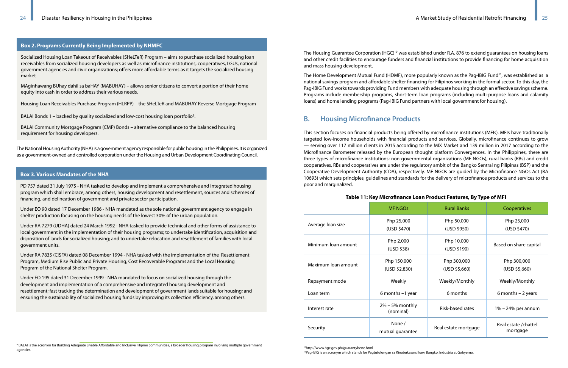The National Housing Authority (NHA)is a government agency responsible for public housing in the Philippines. It is organized as a government-owned and controlled corporation under the Housing and Urban Development Coordinating Council. 9

9 BALAI is the acronym for Building Adequate Livable Affordable and Inclusive Filipino communities, a broader housing program involving multiple government agencies.

### **Box 2. Programs Currently Being Implemented by NHMFC**

Socialized Housing Loan Takeout of Receivables (SHeLTeR) Program – aims to purchase socialized housing loan receivables from socialized housing developers as well as microfinance institutions, cooperatives, LGUs, national government agencies and civic organizations; offers more affordable terms as it targets the socialized housing market

The Housing Guarantee Corporation (HGC)<sup>10</sup> was established under R.A. 876 to extend guarantees on housing loans and other credit facilities to encourage funders and financial institutions to provide financing for home acquisition and mass housing development.

MAginhawang BUhay dahil sa baHAY (MABUHAY) – allows senior citizens to convert a portion of their home equity into cash in order to address their various needs.

Housing Loan Receivables Purchase Program (HLRPP) – the SHeLTeR and MABUHAY Reverse Mortgage Program

The Home Development Mutual Fund (HDMF), more popularly known as the Pag-IBIG Fund<sup>11</sup>, was established as a national savings program and affordable shelter financing for Filipinos working in the formal sector. To this day, the Pag-IBIG Fund works towards providing Fund members with adequate housing through an effective savings scheme. Programs include membership programs, short-term loan programs (including multi-purpose loans and calamity loans) and home lending programs (Pag-IBIG Fund partners with local government for housing).

BALAI Bonds 1 – backed by quality socialized and low-cost housing loan portfolio9.

BALAI Community Mortgage Program (CMP) Bonds – alternative compliance to the balanced housing requirement for housing developers.

# **B. Housing Microfinance Products**

This section focuses on financial products being offered by microfinance institutions (MFIs). MFIs have traditionally targeted low-income households with financial products and services. Globally, microfinance continues to grow — serving over 117 million clients in 2015 according to the MIX Market and 139 million in 2017 according to the Microfinance Barometer released by the European thought platform Convergences. In the Philippines, there are three types of microfinance institutions: non-governmental organizations (MF NGOs), rural banks (RBs) and credit cooperatives. RBs and cooperatives are under the regulatory ambit of the Bangko Sentral ng Pilipinas (BSP) and the Cooperative Development Authority (CDA), respectively. MF NGOs are guided by the Microfinance NGOs Act (RA 10693) which sets principles, guidelines and standards for the delivery of microfinance products and services to the poor and marginalized.

# **Table 11: Key Microfinance Loan Product Features, By Type of MFI**

|                     | <b>MF NGOs</b>                  | <b>Rural Banks</b>           | Cooperatives                      |
|---------------------|---------------------------------|------------------------------|-----------------------------------|
| Average loan size   | Php 25,000<br>(USD \$470)       | Php 50,000<br>(USD \$950)    | Php 25,000<br>(USD \$470)         |
| Minimum loan amount | Php 2,000<br>(USD \$38)         | Php 10,000<br>(USD \$190)    | Based on share capital            |
| Maximum loan amount | Php 150,000<br>(USD \$2,830)    | Php 300,000<br>(USD \$5,660) | Php 300,000<br>(USD \$5,660)      |
| Repayment mode      | Weekly                          | Weekly/Monthly               | Weekly/Monthly                    |
| Loan term           | 6 months $-1$ year              | 6 months                     | 6 months $-2$ years               |
| Interest rate       | $2\%$ – 5% monthly<br>(nominal) | Risk-based rates             | $1\% - 24\%$ per annum            |
| Security            | None /<br>mutual guarantee      | Real estate mortgage         | Real estate / chattel<br>mortgage |

10http://www.hgc.gov.ph/guarantybene.html

11Pag-IBIG is an acronym which stands for Pagtutulungan sa Kinabukasan: Ikaw, Bangko, Industria at Gobyerno.

#### **Box 3. Various Mandates of the NHA**

[PD 757 dated 31 July 1975](http://www.nha.gov.ph/about_us/2015-pdf/PD757.pdf) - NHA tasked to develop and implement a comprehensive and integrated housing program which shall embrace, among others, housing development and resettlement, sources and schemes of financing, and delineation of government and private sector participation.

Under [EO 90 dated 17 December 1986](http://www.nha.gov.ph/about_us/2015-pdf/eo-90.pdf) - NHA mandated as the sole national government agency to engage in shelter production focusing on the housing needs of the lowest 30% of the urban population.

Under [RA 7279 \(UDHA\) dated 24 March 1992](http://www.nha.gov.ph/about_us/2015-pdf/RA7279.pdf) - NHA tasked to provide technical and other forms of assistance to local government in the implementation of their housing programs; to undertake identification, acquisition and disposition of lands for socialized housing; and to undertake relocation and resettlement of families with local government units.

Under [RA 7835 \(CISFA\) dated 08 December 1994](http://www.nha.gov.ph/about_us/2015-pdf/RA7835-CISFA.pdf) - NHA tasked with the implementation of the Resettlement Program, Medium Rise Public and Private Housing, Cost Recoverable Programs and the Local Housing Program of the National Shelter Program.

Under [EO 195 dated 31 December 1999](http://www.nha.gov.ph/about_us/2015-pdf/EO-195.pdf) - NHA mandated to focus on socialized housing through the development and implementation of a comprehensive and integrated housing development and resettlement; fast tracking the determination and development of government lands suitable for housing; and ensuring the sustainability of socialized housing funds by improving its collection efficiency, among others.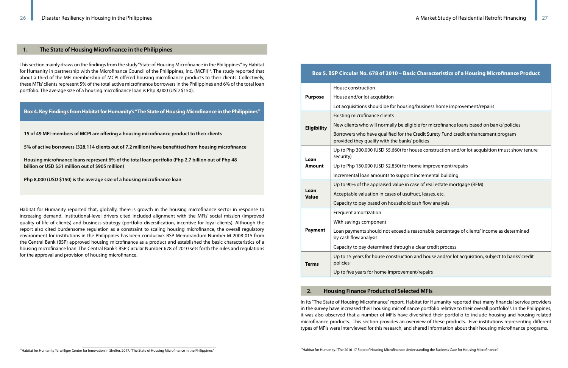# **Box 5. BSP Circular No. 678 of 2010 – Basic Characteristics of a Housing Microfinance Product**

|                      | House construction                                                                  |
|----------------------|-------------------------------------------------------------------------------------|
| <b>Purpose</b>       | House and/or lot acquisition                                                        |
|                      | Lot acquisitions should be for housing/b                                            |
|                      | <b>Existing microfinance clients</b>                                                |
| <b>Eligibility</b>   | New clients who will normally be eligibl                                            |
|                      | Borrowers who have qualified for the Cr<br>provided they qualify with the banks' po |
| Loan                 | Up to Php 300,000 (USD \$5,660) for hou<br>security)                                |
| <b>Amount</b>        | Up to Php 150,000 (USD \$2,830) for hom                                             |
|                      | Incremental loan amounts to support in                                              |
|                      | Up to 90% of the appraised value in case                                            |
| Loan<br><b>Value</b> | Acceptable valuation in cases of usufruc                                            |
|                      | Capacity to pay based on household cas                                              |
|                      | Frequent amortization                                                               |
|                      | With savings component                                                              |
| <b>Payment</b>       | Loan payments should not exceed a rea<br>by cash flow analysis                      |
|                      | Capacity to pay determined through a c                                              |
| <b>Terms</b>         | Up to 15 years for house construction ar<br>policies                                |
|                      | Up to five years for home improvement,                                              |

In its "The State of Housing Microfinance" report, Habitat for Humanity reported that many financial service providers in the survey have increased their housing microfinance portfolio relative to their overall portfolio<sup>13</sup>. In the Philippines, it was also observed that a number of MFIs have diversified their portfolio to include housing and housing-related microfinance products. This section provides an overview of these products. Five institutions representing different types of MFIs were interviewed for this research, and shared information about their housing microfinance programs.

### business home improvement/repairs

- le for microfinance loans based on banks' policies
- redit Surety Fund credit enhancement program
- plicies
- use construction and/or lot acquisition (must show tenure
- ne improvement/repairs
- ncremental building
- e of real estate mortgage (REM)
- t, leases, etc.
- sh flow analysis

asonable percentage of clients' income as determined

- clear credit process
- nd house and/or lot acquisition, subject to banks' credit
- 'repairs

This section mainly draws on the findings from the study "State of Housing Microfinance in the Philippines" by Habitat for Humanity in partnership with the Microfinance Council of the Philippines, Inc. (MCPI)12. The study reported that about a third of the MFI membership of MCPI offered housing microfinance products to their clients. Collectively, these MFIs' clients represent 5% of the total active microfinance borrowers in the Philippines and 6% of the total loan portfolio. The average size of a housing microfinance loan is Php 8,000 (USD \$150).

Habitat for Humanity reported that, globally, there is growth in the housing microfinance sector in response to increasing demand. Institutional-level drivers cited included alignment with the MFIs' social mission (improved quality of life of clients) and business strategy (portfolio diversification, incentive for loyal clients). Although the report also cited burdensome regulation as a constraint to scaling housing microfinance, the overall regulatory environment for institutions in the Philippines has been conducive. BSP Memorandum Number M-2008-015 from the Central Bank (BSP) approved housing microfinance as a product and established the basic characteristics of a housing microfinance loan. The Central Bank's BSP Circular Number 678 of 2010 sets forth the rules and regulations for the approval and provision of housing microfinance.

#### **1. The State of Housing Microfinance in the Philippines**

**Box 4. Key Findings from Habitat for Humanity's "The State of Housing Microfinance in the Philippines"**

**15 of 49 MFI-members of MCPI are offering a housing microfinance product to their clients**

**5% of active borrowers (328,114 clients out of 7.2 million) have benefitted from housing microfinance**

**Housing microfinance loans represent 6% of the total loan portfolio (Php 2.7 billion out of Php 48 billion or USD \$51 million out of \$905 million)** 

**Php 8,000 (USD \$150) is the average size of a housing microfinance loan**

#### **2. Housing Finance Products of Selected MFIs**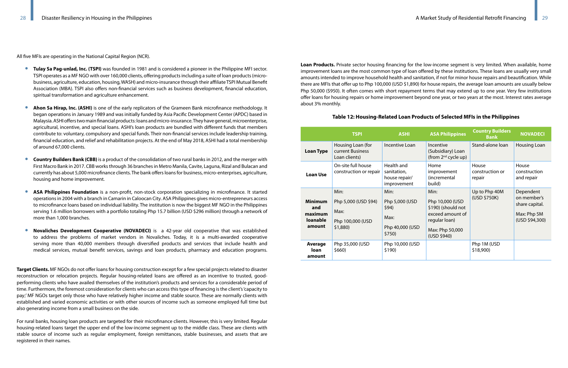All five MFIs are operating in the National Capital Region (NCR).

- **Tulay Sa Pag-unlad, Inc. (TSPI)** was founded in 1981 and is considered a pioneer in the Philippine MFI sector. TSPI operates as a MF NGO with over 160,000 clients, offering products including a suite of loan products (microbusiness, agriculture, education, housing, WASH) and micro-insurance through their affiliate TSPI Mutual Benefit Association (MBA). TSPI also offers non-financial services such as business development, financial education, spiritual transformation and agriculture enhancement.
- **Ahon Sa Hirap, Inc. (ASHI)** is one of the early replicators of the Grameen Bank microfinance methodology. It began operations in January 1989 and was initially funded by Asia Pacific Development Center (APDC) based in Malaysia. ASHI offers two main financial products: loans and micro-insurance. They have general, microenterprise, agricultural, incentive, and special loans. ASHI's loan products are bundled with different funds that members contribute to: voluntary, compulsory and special funds. Their non-financial services include leadership training, financial education, and relief and rehabilitation projects. At the end of May 2018, ASHI had a total membership of around 67,000 clients.
- **Country Builders Bank (CBB)** is a product of the consolidation of two rural banks in 2012, and the merger with First Macro Bank in 2017. CBB works through 36 branches in Metro Manila, Cavite, Laguna, Rizal and Bulacan and currently has about 5,000 microfinance clients. The bank offers loans for business, micro-enterprises, agriculture, housing and home improvement.
- **ASA Philippines Foundation** is a non-profit, non-stock corporation specializing in microfinance. It started operations in 2004 with a branch in Camarin in Caloocan City. ASA Philippines gives micro-entrepreneurs access to microfinance loans based on individual liability. The institution is now the biggest MF NGO in the Philippines serving 1.6 million borrowers with a portfolio totaling Php 15.7 billion (USD \$296 million) through a network of more than 1,000 branches.
- **Novaliches Development Cooperative (NOVADECI)** is a 42-year old cooperative that was established to address the problems of market vendors in Novaliches. Today, it is a multi-awarded cooperative serving more than 40,000 members through diversified products and services that include health and medical services, mutual benefit services, savings and loan products, pharmacy and education programs.

**Target Clients.** MF NGOs do not offer loans for housing construction except for a few special projects related to disaster reconstruction or relocation projects. Regular housing-related loans are offered as an incentive to trusted, goodperforming clients who have availed themselves of the institution's products and services for a considerable period of time. Furthermore, the foremost consideration for clients who can access this type of financing is the client's 'capacity to pay;' MF NGOs target only those who have relatively higher income and stable source. These are normally clients with established and varied economic activities or with other sources of income such as someone employed full time but also generating income from a small business on the side.

For rural banks, housing loan products are targeted for their microfinance clients. However, this is very limited. Regular housing-related loans target the upper end of the low-income segment up to the middle class. These are clients with stable source of income such as regular employment, foreign remittances, stable businesses, and assets that are registered in their names.

**Loan Products.** Private sector housing financing for the low-income segment is very limited. When available, home improvement loans are the most common type of loan offered by these institutions. These loans are usually very small amounts intended to improve household health and sanitation, if not for minor house repairs and beautification. While there are MFIs that offer up to Php 100,000 (USD \$1,890) for house repairs, the average loan amounts are usually below Php 50,000 (\$950). It often comes with short repayment terms that may extend up to one year. Very few institutions offer loans for housing repairs or home improvement beyond one year, or two years at the most. Interest rates average about 3% monthly.

# **Table 12: Housing-Related Loan Products of Selected MFIs in the Philippines**

|                                                               | <b>TSPI</b>                                                            | <b>ASHI</b>                                                          | <b>ASA Philippines</b>                                                                                               | <b>Country Builders</b><br><b>Bank</b> | <b>NOVADECI</b>                                                             |
|---------------------------------------------------------------|------------------------------------------------------------------------|----------------------------------------------------------------------|----------------------------------------------------------------------------------------------------------------------|----------------------------------------|-----------------------------------------------------------------------------|
| <b>Loan Type</b>                                              | Housing Loan (for<br>current Business<br>Loan clients)                 | <b>Incentive Loan</b>                                                | Incentive<br>(Subsidiary) Loan<br>(from 2 <sup>nd</sup> cycle up)                                                    | Stand-alone loan                       | <b>Housing Loan</b>                                                         |
| <b>Loan Use</b>                                               | On-site full house<br>construction or repair                           | Health and<br>sanitation,<br>house repair/<br>improvement            | Home<br>improvement<br>(incremental<br>build)                                                                        | House<br>construction or<br>repair     | House<br>construction<br>and repair                                         |
| <b>Minimum</b><br>and<br>maximum<br><b>loanable</b><br>amount | Min:<br>Php 5,000 (USD \$94)<br>Max:<br>Php 100,000 (USD<br>$$1,880$ ) | Min:<br>Php 5,000 (USD<br>\$94)<br>Max:<br>Php 40,000 (USD<br>\$750) | Min:<br>Php 10,000 (USD<br>\$190) (should not<br>exceed amount of<br>regular loan)<br>Max: Php 50,000<br>(USD \$940) | Up to Php 40M<br>(USD \$750K)          | Dependent<br>on member's<br>share capital.<br>Max: Php 5M<br>(USD \$94,300) |
| Average<br>loan<br>amount                                     | Php 35,000 (USD<br>\$660)                                              | Php 10,000 (USD<br>\$190)                                            |                                                                                                                      | Php 1M (USD<br>\$18,900                |                                                                             |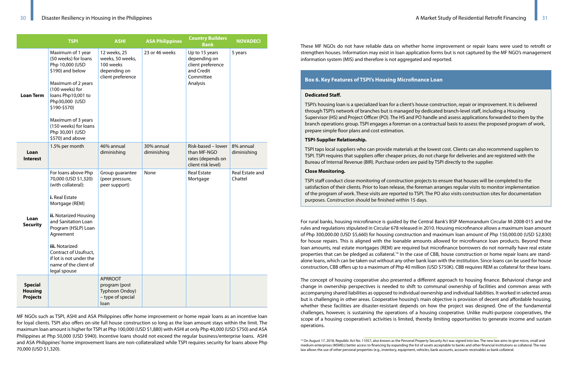|                                                     | <b>TSPI</b>                                                                                                                                                                                                                                                                                                     | <b>ASHI</b>                                                                        | <b>ASA Philippines</b>    | <b>Country Builders</b><br><b>Bank</b>                                                     | <b>NOVADECI</b>            |
|-----------------------------------------------------|-----------------------------------------------------------------------------------------------------------------------------------------------------------------------------------------------------------------------------------------------------------------------------------------------------------------|------------------------------------------------------------------------------------|---------------------------|--------------------------------------------------------------------------------------------|----------------------------|
| <b>Loan Term</b>                                    | Maximum of 1 year<br>(50 weeks) for loans<br>Php 10,000 (USD<br>\$190) and below<br>Maximum of 2 years<br>(100 weeks) for<br>loans Php10,001 to<br>Php30,000 (USD<br>\$190-\$570)<br>Maximum of 3 years<br>(150 weeks) for loans<br>Php 30,001 (USD<br>\$570) and above                                         | 12 weeks, 25<br>weeks, 50 weeks,<br>100 weeks<br>depending on<br>client preference | 23 or 46 weeks            | Up to 15 years<br>depending on<br>client preference<br>and Credit<br>Committee<br>Analysis | 5 years                    |
| Loan<br><b>Interest</b>                             | 1.5% per month                                                                                                                                                                                                                                                                                                  | 46% annual<br>diminishing                                                          | 30% annual<br>diminishing | Risk-based - lower<br>than MF-NGO<br>rates (depends on<br>client risk level)               | 8% annual<br>diminishing   |
| Loan<br><b>Security</b>                             | For loans above Php<br>70,000 (USD \$1,320)<br>(with collateral):<br>i. Real Estate<br>Mortgage (REM)<br>ii. Notarized Housing<br>and Sanitation Loan<br>Program (HSLP) Loan<br>Agreement<br><b>iii.</b> Notarized<br>Contract of Usufruct,<br>if lot is not under the<br>name of the client of<br>legal spouse | Group guarantee<br>(peer pressure,<br>peer support)                                | None                      | <b>Real Estate</b><br>Mortgage                                                             | Real Estate and<br>Chattel |
| <b>Special</b><br><b>Housing</b><br><b>Projects</b> |                                                                                                                                                                                                                                                                                                                 | <b>APRROOT</b><br>program (post<br>Typhoon Ondoy)<br>- type of special<br>loan     |                           |                                                                                            |                            |

MF NGOs such as TSPI, ASHI and ASA Philippines offer home improvement or home repair loans as an incentive loan for loyal clients. TSPI also offers on-site full house construction so long as the loan amount stays within the limit. The maximum loan amount is higher for TSPI at Php 100,000 (USD \$1,880) with ASHI at only Php 40,000 (USD \$750) and ASA Philippines at Php 50,000 (USD \$940). Incentive loans should not exceed the regular business/enterprise loans. ASHI and ASA Philippines' home improvement loans are non-collateralized while TSPI requires security for loans above Php 70,000 (USD \$1,320).

These MF NGOs do not have reliable data on whether home improvement or repair loans were used to retrofit or strengthen houses. Information may exist in loan application forms but is not captured by the MF NGO's management information system (MIS) and therefore is not aggregated and reported.

For rural banks, housing microfinance is guided by the Central Bank's BSP Memorandum Circular M-2008-015 and the rules and regulations stipulated in Circular 678 released in 2010. Housing microfinance allows a maximum loan amount of Php 300,000.00 (USD \$5,660) for housing construction and maximum loan amount of Php 150,000.00 (USD \$2,830) for house repairs. This is aligned with the loanable amounts allowed for microfinance loan products. Beyond these loan amounts, real estate mortgages (REM) are required but microfinance borrowers do not normally have real estate properties that can be pledged as collateral.14 In the case of CBB, house construction or home repair loans are standalone loans, which can be taken out without any other bank loan with the institution. Since loans can be used for house construction, CBB offers up to a maximum of Php 40 million (USD \$750K). CBB requires REM as collateral for these loans.

The concept of housing cooperative also presented a different approach to housing finance. Behavioral change and change in ownership perspectives is needed to shift to communal ownership of facilities and common areas with accompanying shared liabilities as opposed to individual ownership and individual liabilities. It worked in selected areas but is challenging in other areas. Cooperative housing's main objective is provision of decent and affordable housing, whether these facilities are disaster-resistant depends on how the project was designed. One of the fundamental challenges, however, is sustaining the operations of a housing cooperative. Unlike multi-purpose cooperatives, the scope of a housing cooperative's activities is limited, thereby limiting opportunities to generate income and sustain operations.

### **Box 6. Key Features of TSPI's Housing Microfinance Loan**

#### **Dedicated Staff.**

TSPI's housing loan is a specialized loan for a client's house construction, repair or improvement. It is delivered through TSPI's network of branches but is managed by dedicated branch-level staff, including a Housing Supervisor (HS) and Project Officer (PO). The HS and PO handle and assess applications forwarded to them by the branch operations group. TSPI engages a foreman on a contractual basis to assess the proposed program of work, prepare simple floor plans and cost estimation.

#### **TSPI-Supplier Relationship.**

TSPI taps local suppliers who can provide materials at the lowest cost. Clients can also recommend suppliers to TSPI. TSPI requires that suppliers offer cheaper prices, do not charge for deliveries and are registered with the Bureau of Internal Revenue (BIR). Purchase orders are paid by TSPI directly to the supplier.

### **Close Monitoring.**

TSPI staff conduct close monitoring of construction projects to ensure that houses will be completed to the satisfaction of their clients. Prior to loan release, the foreman arranges regular visits to monitor implementation of the program of work. These visits are reported to TSPI. The PO also visits construction sites for documentation purposes. Construction should be finished within 15 days.

<sup>&</sup>lt;sup>14</sup> On August 17, 2018, Republic Act No. 11057, also known as the Personal Property Security Act was signed into law. The new law aims to give micro, small and medium enterprises (MSMEs) better access to financing by expanding the list of assets acceptable to banks and other financial institutions as collateral. The new law allows the use of other personal properties (e.g., inventory, equipment, vehicles, bank accounts, accounts receivable) as bank collateral.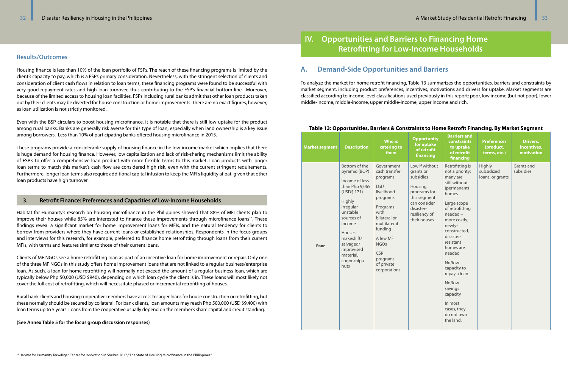# **Results/Outcomes**

Housing finance is less than 10% of the loan portfolio of FSPs. The reach of these financing programs is limited by the client's capacity to pay, which is a FSPs primary consideration. Nevertheless, with the stringent selection of clients and consideration of client cash flows in relation to loan terms, these financing programs were found to be successful with very good repayment rates and high loan turnover, thus contributing to the FSP's financial bottom line. Moreover, because of the limited access to housing loan facilities, FSPs including rural banks admit that other loan products taken out by their clients may be diverted for house construction or home improvements. There are no exact figures, however, as loan utilization is not strictly monitored.

Even with the BSP circulars to boost housing microfinance, it is notable that there is still low uptake for the product among rural banks. Banks are generally risk averse for this type of loan, especially when land ownership is a key issue among borrowers. Less than 10% of participating banks offered housing microfinance in 2015.

These programs provide a considerable supply of housing finance in the low-income market which implies that there is huge demand for housing finance. However, low capitalization and lack of risk-sharing mechanisms limit the ability of FSP's to offer a comprehensive loan product with more flexible terms to this market. Loan products with longer loan terms to match this market's cash flow are considered high risk, even with the current stringent requirements. Furthermore, longer loan terms also require additional capital infusion to keep the MFI's liquidity afloat, given that other loan products have high turnover.

Habitat for Humanity's research on housing microfinance in the Philippines showed that 88% of MFI clients plan to improve their houses while 85% are interested to finance these improvements through microfinance loans<sup>15</sup>. These findings reveal a significant market for home improvement loans for MFIs, and the natural tendency for clients to borrow from providers where they have current loans or established relationships. Respondents in the focus groups and interviews for this research, for example, preferred to finance home retrofitting through loans from their current MFIs, with terms and features similar to those of their current loans.

Clients of MF NGOs see a home retrofitting loan as part of an incentive loan for home improvement or repair. Only one of the three MF NGOs in this study offers home improvement loans that are not linked to a regular business/enterprise loan. As such, a loan for home retrofitting will normally not exceed the amount of a regular business loan, which are typically below Php 50,000 (USD \$940), depending on which loan cycle the client is in. These loans will most likely not cover the full cost of retrofitting, which will necessitate phased or incremental retrofitting of houses.

Rural bank clients and housing cooperative members have access to larger loans for house construction or retrofitting, but these normally should be secured by collateral. For bank clients, loan amounts may reach Php 500,000 (USD \$9,400) with loan terms up to 5 years. Loans from the cooperative usually depend on the member's share capital and credit standing.

**(See Annex Table 5 for the focus group discussion responses)**

# **3. Retrofit Finance: Preferences and Capacities of Low-Income Households**

# **IV. Opportunities and Barriers to Financing Home Retrofitting for Low-Income Households**

# **A. Demand-Side Opportunities and Barriers**

To analyze the market for home retrofit financing, Table 13 summarizes the opportunities, barriers and constraints by market segment, including product preferences, incentives, motivations and drivers for uptake. Market segments are classified according to income level classifications used previously in this report: poor, low income (but not poor), lower middle-income, middle-income, upper middle-income, upper income and rich.

## **Table 13: Opportunities, Barriers & Constraints to Home Retrofit Financing, By Market Segment**

| <b>Market segment</b> | <b>Description</b>                                                                                                                                                                                                                   | <b>Who is</b><br>catering to<br>them                                                                                                                                                                                       | <b>Opportunity</b><br>for uptake<br>of retrofit<br>financing                                                                                      | <b>Barriers and</b><br><b>constraints</b><br>to uptake<br>of retrofit<br>financing                                                                                                                                                                                                                                                                              | <b>Preferences</b><br>(product,<br>terms, etc.) | <b>Drivers,</b><br>incentives,<br>motivation |
|-----------------------|--------------------------------------------------------------------------------------------------------------------------------------------------------------------------------------------------------------------------------------|----------------------------------------------------------------------------------------------------------------------------------------------------------------------------------------------------------------------------|---------------------------------------------------------------------------------------------------------------------------------------------------|-----------------------------------------------------------------------------------------------------------------------------------------------------------------------------------------------------------------------------------------------------------------------------------------------------------------------------------------------------------------|-------------------------------------------------|----------------------------------------------|
| Poor                  | Bottom of the<br>pyramid (BOP)<br>Income of less<br>than Php 9,065<br>(USD\$ 171)<br>Highly<br>irregular,<br>unstable<br>sources of<br>income<br>Houses:<br>makeshift/<br>salvaged/<br>improvised<br>material,<br>cogon/nipa<br>huts | Government<br>cash transfer<br>programs<br>LGU<br>livelihood<br>programs<br>Programs<br>with<br>bilateral or<br>multilateral<br>funding<br>A few MF<br><b>NGOs</b><br><b>CSR</b><br>programs<br>of private<br>corporations | Low if without<br>grants or<br>subsidies<br>Housing<br>programs for<br>this segment<br>can consider<br>disaster-<br>resiliency of<br>their houses | Retrofitting is<br>not a priority;<br>many are<br>still without<br>(permanent)<br>homes<br>Large scope<br>of retrofitting<br>needed -<br>more costly;<br>newly-<br>constructed,<br>disaster-<br>resistant<br>homes are<br>needed<br>No/low<br>capacity to<br>repay a loan<br>No/low<br>savings<br>capacity<br>In most<br>cases, they<br>do not own<br>the land. | Highly<br>subsidized<br>loans, or grants        | Grants and<br>subsidies                      |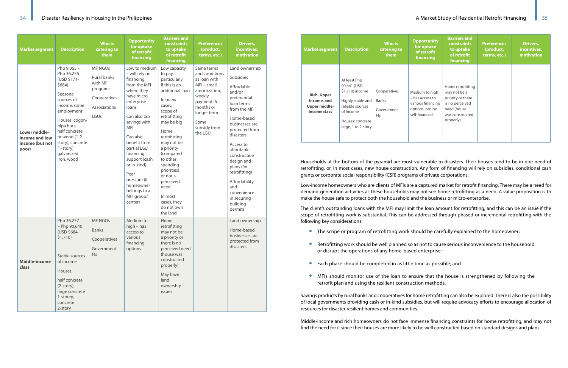| <b>Market segment</b>                                       | <b>Description</b>                                                                                                                                                                                                                           | <b>Who is</b><br>catering to<br>them                                                                | <b>Opportunity</b><br>for uptake<br>of retrofit<br>financing                                                                                                                                                                                                                                                                         | <b>Barriers and</b><br>constraints<br>to uptake<br>of retrofit<br>financing                                                                                                                                                                                                                                                             | <b>Preferences</b><br>(product,<br>terms, etc.)                                                                                                                       | Drivers,<br>incentives,<br>motivation                                                                                                                                                                                                                                                                                                        |
|-------------------------------------------------------------|----------------------------------------------------------------------------------------------------------------------------------------------------------------------------------------------------------------------------------------------|-----------------------------------------------------------------------------------------------------|--------------------------------------------------------------------------------------------------------------------------------------------------------------------------------------------------------------------------------------------------------------------------------------------------------------------------------------|-----------------------------------------------------------------------------------------------------------------------------------------------------------------------------------------------------------------------------------------------------------------------------------------------------------------------------------------|-----------------------------------------------------------------------------------------------------------------------------------------------------------------------|----------------------------------------------------------------------------------------------------------------------------------------------------------------------------------------------------------------------------------------------------------------------------------------------------------------------------------------------|
| Lower middle-<br>income and low<br>income (but not<br>poor) | Php 9,065 -<br>Php 36,256<br>(USD \$171-<br>\$684)<br>Seasonal<br>sources of<br>income, some<br>employment<br>Houses: cogon/<br>nipa huts,<br>half concrete<br>or wood (1-2<br>story), concrete<br>$(1-story)$ ,<br>galvanized<br>iron, wood | <b>MF NGOs</b><br><b>Rural banks</b><br>with MF<br>programs<br>Cooperatives<br>Associations<br>LGUs | Low to medium<br>- will rely on<br>financing<br>from the MFI<br>where they<br>have micro-<br>enterprise<br>loans<br>Can also tap<br>savings with<br><b>MFI</b><br>Can also<br>benefit from<br>partial LGU<br>financing<br>support (cash<br>or in-kind)<br>Peer<br>pressure (if<br>homeowner<br>belongs to a<br>MFI group/<br>center) | Low capacity<br>to pay,<br>particularly<br>if this is an<br>additional loan<br>In many<br>cases,<br>scope of<br>retrofitting<br>may be big<br>Home<br>retrofitting<br>may not be<br>a priority<br>(compared<br>to other<br>spending<br>priorities)<br>or not a<br>perceived<br>need<br>In most<br>cases, they<br>do not own<br>the land | Same terms<br>and conditions<br>as loan with<br>$MFI - small$<br>amortization,<br>weekly<br>payment, 6<br>months or<br>longer term<br>Some<br>subsidy from<br>the LGU | Land ownership<br><b>Subsidies</b><br>Affordable<br>and/or<br>preferential<br>loan terms<br>from the MFI<br>Home-based<br>businesses are<br>protected from<br>disasters<br>Access to<br>affordable<br>construction<br>design and<br>plans (for<br>retrofitting)<br>Affordability<br>and<br>convenience<br>in securing<br>building<br>permits |
| <b>Middle-income</b><br>class                               | Php 36,257<br>$-$ Php 90,640<br>(USD \$684-<br>\$1,710<br>Stable sources<br>of income<br>Houses:<br>half concrete<br>$(2\text{-story})$ ,<br>large concrete<br>1-storey,<br>concrete<br>2-story                                              | <b>MF NGOs</b><br><b>Banks</b><br>Cooperatives<br>Government<br><b>FIs</b>                          | Medium to<br>$high - has$<br>access to<br>various<br>financing<br>options                                                                                                                                                                                                                                                            | Home<br>retrofitting<br>may not be<br>a priority or<br>there is no<br>perceived need<br>(house was<br>constructed<br>properly)<br>May have<br>land<br>ownership<br>issues                                                                                                                                                               |                                                                                                                                                                       | Land ownership<br>Home-based<br>businesses are<br>protected from<br>disasters                                                                                                                                                                                                                                                                |

- The scope or program of retrofitting work should be carefully explained to the homeowner;
- or disrupt the operations of any home-based enterprise;
- Each phase should be completed in as little time as possible; and
- retrofit plan and using the resilient construction methods.

| <b>Market segment</b>                                                     | <b>Description</b>                                                                                                                              | Who is<br>catering to<br>them                            | <b>Opportunity</b><br>for uptake<br>of retrofit<br>financing                               | <b>Barriers and</b><br><b>constraints</b><br>to uptake<br>of retrofit<br>financing                                       | Preferences<br>(product,<br>terms, etc.) | Drivers,<br>incentives,<br>motivation |
|---------------------------------------------------------------------------|-------------------------------------------------------------------------------------------------------------------------------------------------|----------------------------------------------------------|--------------------------------------------------------------------------------------------|--------------------------------------------------------------------------------------------------------------------------|------------------------------------------|---------------------------------------|
| <b>Rich, Upper</b><br>income, and<br><b>Upper middle-</b><br>income class | At least Php<br>90,641 (USD<br>\$1,710) income<br>Highly stable and<br>reliable sources<br>of income<br>Houses: concrete<br>large, 1 to 2-story | Cooperatives<br><b>Banks</b><br>Government<br><b>FIs</b> | Medium to high<br>- has access to<br>various financing<br>options, can be<br>self-financed | Home retrofitting<br>may not be a<br>priority or there<br>is no perceived<br>need (house<br>was constructed<br>properly) |                                          |                                       |

Households at the bottom of the pyramid are most vulnerable to disasters. Their houses tend to be in dire need of retrofitting, or, in most cases, new house construction. Any form of financing will rely on subsidies, conditional cash grants or corporate social responsibility (CSR) programs of private corporations.

Low-income homeowners who are clients of MFIs are a captured market for retrofit financing. There may be a need for demand-generation activities as these households may not see home retrofitting as a need. A value proposition is to make the house safe to protect both the household and the business or micro-enterprise.

The client's outstanding loans with the MFI may limit the loan amount for retrofitting, and this can be an issue if the scope of retrofitting work is substantial. This can be addressed through phased or incremental retrofitting with the following key considerations:

• Retrofitting work should be well planned so as not to cause serious inconvenience to the household

• MFIs should monitor use of the loan to ensure that the house is strengthened by following the

Savings products by rural banks and cooperatives for home retrofitting can also be explored. There is also the possibility of local governments providing cash or in-kind subsidies, but will require advocacy efforts to encourage allocation of resources for disaster resilient homes and communities.

Middle-income and rich homeowners do not face immense financing constraints for home retrofitting, and may not find the need for it since their houses are more likely to be well constructed based on standard designs and plans.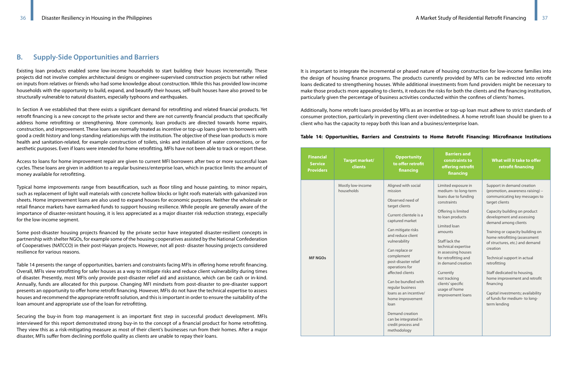# **B. Supply-Side Opportunities and Barriers**

Existing loan products enabled some low-income households to start building their houses incrementally. These projects did not involve complex architectural designs or engineer-supervised construction projects but rather relied on inputs from relatives or friends who had some knowledge about construction. While this has provided low-income households with the opportunity to build, expand, and beautify their houses, self-built houses have also proved to be structurally vulnerable to natural disasters, especially typhoons and earthquakes.

In Section A we established that there exists a significant demand for retrofitting and related financial products. Yet retrofit financing is a new concept to the private sector and there are not currently financial products that specifically address home retrofitting or strengthening. More commonly, loan products are directed towards home repairs, construction, and improvement. These loans are normally treated as incentive or top-up loans given to borrowers with good a credit history and long-standing relationships with the institution. The objective of these loan products is more health and sanitation-related, for example construction of toilets, sinks and installation of water connections, or for aesthetic purposes. Even if loans were intended for home retrofitting, MFIs have not been able to track or report these.

Access to loans for home improvement repair are given to current MFI borrowers after two or more successful loan cycles. These loans are given in addition to a regular business/enterprise loan, which in practice limits the amount of money available for retrofitting.

Typical home improvements range from beautification, such as floor tiling and house painting, to minor repairs, such as replacement of light wall materials with concrete hollow blocks or light roofs materials with galvanized iron sheets. Home improvement loans are also used to expand houses for economic purposes. Neither the wholesale or retail finance markets have earmarked funds to support housing resilience. While people are generally aware of the importance of disaster-resistant housing, it is less appreciated as a major disaster risk reduction strategy, especially for the low-income segment.

Some post-disaster housing projects financed by the private sector have integrated disaster-resilient concepts in partnership with shelter NGOs, for example some of the housing cooperatives assisted by the National Confederation of Cooperatives (NATCCO) in their post-Haiyan projects. However, not all post- disaster housing projects considered resilience for various reasons.

Table 14 presents the range of opportunities, barriers and constraints facing MFIs in offering home retrofit financing. Overall, MFIs view retrofitting for safer houses as a way to mitigate risks and reduce client vulnerability during times of disaster. Presently, most MFIs only provide post-disaster relief aid and assistance, which can be cash or in-kind. Annually, funds are allocated for this purpose. Changing MFI mindsets from post-disaster to pre-disaster support presents an opportunity to offer home retrofit financing. However, MFIs do not have the technical expertise to assess houses and recommend the appropriate retrofit solution, and this is important in order to ensure the suitability of the loan amount and appropriate use of the loan for retrofitting.

Securing the buy-in from top management is an important first step in successful product development. MFIs interviewed for this report demonstrated strong buy-in to the concept of a financial product for home retrofitting. They view this as a risk-mitigating measure as most of their client's businesses run from their homes. After a major disaster, MFIs suffer from declining portfolio quality as clients are unable to repay their loans.

It is important to integrate the incremental or phased nature of housing construction for low-income families into the design of housing finance programs. The products currently provided by MFIs can be redirected into retrofit loans dedicated to strengthening houses. While additional investments from fund providers might be necessary to make those products more appealing to clients, it reduces the risks for both the clients and the financing institution, particularly given the percentage of business activities conducted within the confines of clients' homes.

Additionally, home retrofit loans provided by MFIs as an incentive or top-up loan must adhere to strict standards of consumer protection, particularly in preventing client over-indebtedness. A home retrofit loan should be given to a client who has the capacity to repay both this loan and a business/enterprise loan.

### **Table 14: Opportunities, Barriers and Constraints to Home Retrofit Financing: Microfinance Institutions**

| <b>Financial</b><br><b>Service</b><br><b>Providers</b> | <b>Target market/</b><br>clients | <b>Opportunity</b><br>to offer retrofit<br>financing                                                                                                                                                                                                                                                                                                                                                                                                         | <b>Barriers and</b><br>constraints to<br>offering retrofit<br>financing                                                                                                                                                                                                                                                                                        | What will it take to offer<br>retrofit financing                                                                                                                                                                                                                                                                                                                                                                                                                                                                                             |
|--------------------------------------------------------|----------------------------------|--------------------------------------------------------------------------------------------------------------------------------------------------------------------------------------------------------------------------------------------------------------------------------------------------------------------------------------------------------------------------------------------------------------------------------------------------------------|----------------------------------------------------------------------------------------------------------------------------------------------------------------------------------------------------------------------------------------------------------------------------------------------------------------------------------------------------------------|----------------------------------------------------------------------------------------------------------------------------------------------------------------------------------------------------------------------------------------------------------------------------------------------------------------------------------------------------------------------------------------------------------------------------------------------------------------------------------------------------------------------------------------------|
| <b>MF NGOs</b>                                         | Mostly low-income<br>households  | Aligned with social<br>mission<br>Observed need of<br>target clients<br>Current clientele is a<br>captured market<br>Can mitigate risks<br>and reduce client<br>vulnerability<br>Can replace or<br>complement<br>post-disaster relief<br>operations for<br>affected clients<br>Can be bundled with<br>regular business<br>loans as an incentive/<br>home improvement<br>loan<br>Demand creation<br>can be integrated in<br>credit process and<br>methodology | Limited exposure in<br>medium- to long-term<br>loans due to funding<br>constraints<br>Offering is limited<br>to loan products<br>Limited loan<br>amounts<br>Staff lack the<br>technical expertise<br>in assessing houses<br>for retrofitting and<br>in demand creation<br>Currently<br>not tracking<br>clients' specific<br>usage of home<br>improvement loans | Support in demand creation<br>(promotion, awareness raising) -<br>communicating key messages to<br>target clients<br>Capacity building on product<br>development and assessing<br>demand among clients<br>Training or capacity building on<br>home retrofitting (assessment<br>of structures, etc.) and demand<br>creation<br>Technical support in actual<br>retrofitting<br>Staff dedicated to housing,<br>home improvement and retrofit<br>financing<br>Capital investments; availability<br>of funds for medium- to long-<br>term lending |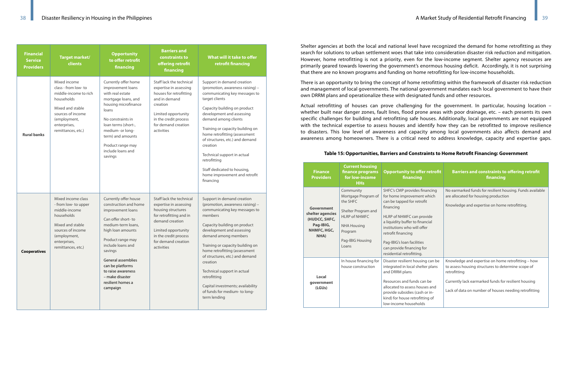| <b>Financial</b><br><b>Service</b><br><b>Providers</b> | <b>Target market/</b><br>clients                                                                                                                                           | <b>Opportunity</b><br>to offer retrofit<br>financing                                                                                                                                                                                                                                                          | <b>Barriers and</b><br>constraints to<br>offering retrofit<br>financing                                                                                                                                     | What will it take to offer<br>retrofit financing                                                                                                                                                                                                                                                                                                                                                                                                         |
|--------------------------------------------------------|----------------------------------------------------------------------------------------------------------------------------------------------------------------------------|---------------------------------------------------------------------------------------------------------------------------------------------------------------------------------------------------------------------------------------------------------------------------------------------------------------|-------------------------------------------------------------------------------------------------------------------------------------------------------------------------------------------------------------|----------------------------------------------------------------------------------------------------------------------------------------------------------------------------------------------------------------------------------------------------------------------------------------------------------------------------------------------------------------------------------------------------------------------------------------------------------|
| <b>Rural banks</b>                                     | Mixed income<br>class - from low- to<br>middle-income to rich<br>households<br>Mixed and stable<br>sources of income<br>(employment,<br>enterprises,<br>remittances, etc.) | Currently offer home<br>improvement loans<br>with real estate<br>mortgage loans, and<br>housing microfinance<br>loans<br>No constraints in<br>loan terms (short-,<br>medium- or long-<br>term) and amounts<br>Product range may<br>include loans and<br>savings                                               | Staff lack the technical<br>expertise in assessing<br>houses for retrofitting<br>and in demand<br>creation<br>Limited opportunity<br>in the credit process<br>for demand creation<br>activities             | Support in demand creation<br>(promotion, awareness raising) -<br>communicating key messages to<br>target clients<br>Capacity building on product<br>development and assessing<br>demand among clients<br>Training or capacity building on<br>home retrofitting (assessment<br>of structures, etc.) and demand<br>creation<br>Technical support in actual<br>retrofitting<br>Staff dedicated to housing,<br>home improvement and retrofit<br>financing   |
| <b>Cooperatives</b>                                    | Mixed income class<br>- from low- to upper<br>middle-income<br>households<br>Mixed and stable<br>sources of income<br>(employment,<br>enterprises,<br>remittances, etc.)   | Currently offer house<br>construction and home<br>improvement loans<br>Can offer short-to<br>medium-term loans,<br>high loan amounts<br>Product range may<br>include loans and<br>savings<br>General assemblies<br>can be platforms<br>to raise awareness<br>- make disaster<br>resilient homes a<br>campaign | Staff lack the technical<br>expertise in assessing<br>housing structures<br>for retrofitting and in<br>demand creation<br>Limited opportunity<br>in the credit process<br>for demand creation<br>activities | Support in demand creation<br>(promotion, awareness raising) -<br>communicating key messages to<br>members<br>Capacity building on product<br>development and assessing<br>demand among members<br>Training or capacity building on<br>home retrofitting (assessment<br>of structures, etc.) and demand<br>creation<br>Technical support in actual<br>retrofitting<br>Capital investments; availability<br>of funds for medium- to long-<br>term lending |

Shelter agencies at both the local and national level have recognized the demand for home retrofitting as they search for solutions to urban settlement woes that take into consideration disaster risk reduction and mitigation. However, home retrofitting is not a priority, even for the low-income segment. Shelter agency resources are primarily geared towards lowering the government's enormous housing deficit. Accordingly, it is not surprising that there are no known programs and funding on home retrofitting for low-income households.

There is an opportunity to bring the concept of home retrofitting within the framework of disaster risk reduction and management of local governments. The national government mandates each local government to have their own DRRM plans and operationalize these with designated funds and other resources.

Actual retrofitting of houses can prove challenging for the government. In particular, housing location – whether built near danger zones, fault lines, flood prone areas with poor drainage, etc. – each presents its own specific challenges for building and retrofitting safe houses. Additionally, local governments are not equipped with the technical expertise to assess houses and identify how they can be retrofitted to improve resilience to disasters. This low level of awareness and capacity among local governments also affects demand and awareness among homeowners. There is a critical need to address knowledge, capacity and expertise gaps.

### **Table 15: Opportunities, Barriers and Constraints to Home Retrofit Financing: Government**

| <b>Finance</b><br><b>Providers</b>                                                  | <b>Current housing</b><br>finance programs<br>for low-income<br><b>HHs</b>                                                                                | <b>Opportunity to offer retrofit</b><br>financing                                                                                                                                                                                                                                                                   | <b>Barriers and constraints to offering retrofit</b><br>financing                                                                                                                                                                         |
|-------------------------------------------------------------------------------------|-----------------------------------------------------------------------------------------------------------------------------------------------------------|---------------------------------------------------------------------------------------------------------------------------------------------------------------------------------------------------------------------------------------------------------------------------------------------------------------------|-------------------------------------------------------------------------------------------------------------------------------------------------------------------------------------------------------------------------------------------|
| Government<br>shelter agencies<br>(HUDCC, SHFC,<br>Pag-IBIG,<br>NHMFC, HGC,<br>NHA) | Community<br>Mortgage Program of<br>the SHFC<br>Shelter Program and<br><b>HLRP of NHMFC</b><br><b>NHA Housing</b><br>Program<br>Pag-IBIG Housing<br>Loans | SHFC's CMP provides financing<br>for home improvement which<br>can be tapped for retrofit<br>financing<br>HLRP of NHMFC can provide<br>a liquidity buffer to financial<br>institutions who will offer<br>retrofit financing<br>Pag-IBIG's loan facilities<br>can provide financing for<br>residential retrofitting. | No earmarked funds for resilient housing. Funds available<br>are allocated for housing production<br>Knowledge and expertise on home retrofitting.                                                                                        |
| Local<br>government<br>(LGUs)                                                       | In house financing for<br>house construction                                                                                                              | Disaster resilient housing can be<br>integrated in local shelter plans<br>and DRRM plans<br>Resources and funds can be<br>allocated to assess houses and<br>provide subsidies (cash or in-<br>kind) for house retrofitting of<br>low-income households                                                              | Knowledge and expertise on home retrofitting - how<br>to assess housing structures to determine scope of<br>retrofitting<br>Currently lack earmarked funds for resilient housing<br>Lack of data on number of houses needing retrofitting |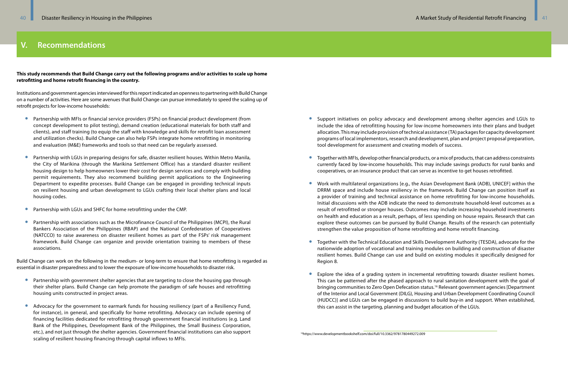**This study recommends that Build Change carry out the following programs and/or activities to scale up home retrofitting and home retrofit financing in the country.** 

Institutions and government agencies interviewed for this report indicated an openness to partnering with Build Change on a number of activities. Here are some avenues that Build Change can pursue immediately to speed the scaling up of retrofit projects for low-income households:

- Partnership with MFIs or financial service providers (FSPs) on financial product development (from concept development to pilot testing), demand creation (educational materials for both staff and clients), and staff training (to equip the staff with knowledge and skills for retrofit loan assessment and utilization checks). Build Change can also help FSPs integrate home retrofitting in monitoring and evaluation (M&E) frameworks and tools so that need can be regularly assessed.
- Partnership with LGUs in preparing designs for safe, disaster resilient houses. Within Metro Manila, the City of Marikina (through the Marikina Settlement Office) has a standard disaster resilient housing design to help homeowners lower their cost for design services and comply with building permit requirements. They also recommend building permit applications to the Engineering Department to expedite processes. Build Change can be engaged in providing technical inputs on resilient housing and urban development to LGUs crafting their local shelter plans and local housing codes.
- Partnership with LGUs and SHFC for home retrofitting under the CMP.
- Partnership with associations such as the Microfinance Council of the Philippines (MCPI), the Rural Bankers Association of the Philippines (RBAP) and the National Confederation of Cooperatives (NATCCO) to raise awareness on disaster resilient homes as part of the FSPs' risk management framework. Build Change can organize and provide orientation training to members of these associations.

- Partnership with government shelter agencies that are targeting to close the housing gap through their shelter plans. Build Change can help promote the paradigm of safe houses and retrofitting housing units constructed in project areas.
- Advocacy for the government to earmark funds for housing resiliency (part of a Resiliency Fund, for instance), in general, and specifically for home retrofitting. Advocacy can include opening of financing facilities dedicated for retrofitting through government financial institutions (e.g. Land Bank of the Philippines, Development Bank of the Philippines, the Small Business Corporation, etc.), and not just through the shelter agencies. Government financial institutions can also support scaling of resilient housing financing through capital inflows to MFIs.

Build Change can work on the following in the medium- or long-term to ensure that home retrofitting is regarded as essential in disaster preparedness and to lower the exposure of low-income households to disaster risk.

• Support initiatives on policy advocacy and development among shelter agencies and LGUs to include the idea of retrofitting housing for low-income homeowners into their plans and budget allocation. This may include provision of technical assistance (TA) packages for capacity development programs of local implementors, research and development, plan and project proposal preparation,

• Together with MFIs, develop other financial products, or a mix of products, that can address constraints currently faced by low-income households. This may include savings products for rural banks and

• Work with multilateral organizations [e.g., the Asian Development Bank (ADB), UNICEF] within the DRRM space and include house resiliency in the framework. Build Change can position itself as a provider of training and technical assistance on home retrofitting for low-income households. Initial discussions with the ADB indicate the need to demonstrate household-level outcomes as a result of retrofitted or stronger houses. Outcomes may include increasing household investments on health and education as a result, perhaps, of less spending on house repairs. Research that can explore these outcomes can be pursued by Build Change. Results of the research can potentially

- tool development for assessment and creating models of success.
- cooperatives, or an insurance product that can serve as incentive to get houses retrofitted.
- strengthen the value proposition of home retrofitting and home retrofit financing.
- Region 8.
- this can assist in the targeting, planning and budget allocation of the LGUs.

• Together with the Technical Education and Skills Development Authority (TESDA), advocate for the nationwide adoption of vocational and training modules on building and construction of disaster resilient homes. Build Change can use and build on existing modules it specifically designed for

• Explore the idea of a grading system in incremental retrofitting towards disaster resilient homes. This can be patterned after the phased approach to rural sanitation development with the goal of bringing communities to Zero Open Defecation status.16 Relevant government agencies [Department of the Interior and Local Government (DILG), Housing and Urban Development Coordinating Council (HUDCC)] and LGUs can be engaged in discussions to build buy-in and support. When established,

16https://www.developmentbookshelf.com/doi/full/10.3362/9781780449272.009

# **V. Recommendations**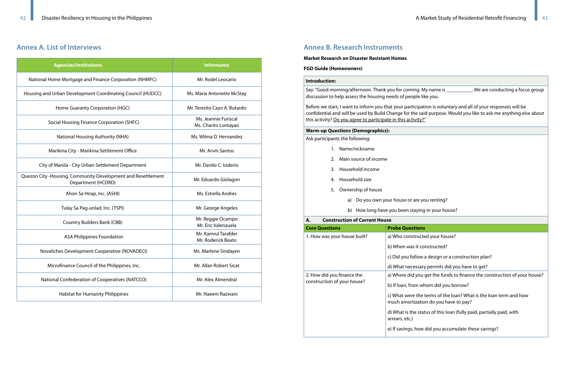# **Annex A. List of Interviews**

| <b>Agencies/Institutions</b>                                                        | <b>Informants</b>                            |  |  |
|-------------------------------------------------------------------------------------|----------------------------------------------|--|--|
| National Home Mortgage and Finance Corporation (NHMFC)                              | Mr. Rodel Leocario                           |  |  |
| Housing and Urban Development Coordinating Council (HUDCC)                          | Ms. Maria Antonette McStay                   |  |  |
| Home Guaranty Corporation (HGC)                                                     | Mr. Teresito Cayo A. Butardo                 |  |  |
| Social Housing Finance Corporation (SHFC)                                           | Ms. Jeannie Furiscal<br>Ms. Charito Lontayao |  |  |
| National Housing Authority (NHA)                                                    | Ms. Wilma D. Hernandez                       |  |  |
| Marikina City - Marikina Settlement Office                                          | Mr. Arvin Santos                             |  |  |
| City of Manila - City Urban Settlement Department                                   | Mr. Danilo C. Isiderio                       |  |  |
| Quezon City - Housing, Community Development and Resettlement<br>Department (HCDRD) | Mr. Eduardo Giolagon                         |  |  |
| Ahon Sa Hirap, Inc. (ASHI)                                                          | Ms. Estrella Andres                          |  |  |
| Tulay Sa Pag-unlad, Inc. (TSPI)                                                     | Mr. George Angeles                           |  |  |
| <b>Country Builders Bank (CBB)</b>                                                  | Mr. Reggie Ocampo<br>Mr. Eric Valenzuela     |  |  |
| <b>ASA Philippines Foundation</b>                                                   | Mr. Kamrul Tarafder<br>Mr. Roderick Beato    |  |  |
| Novaliches Development Cooperative (NOVADECI)                                       | Ms. Marlene Sindayen                         |  |  |
| Microfinance Council of the Philippines, Inc.                                       | Mr. Allan Robert Sicat                       |  |  |
| National Confederation of Cooperatives (NATCCO)                                     | Mr. Alex Almendral                           |  |  |
| <b>Habitat for Humanity Philippines</b>                                             | Mr. Naeem Razwani                            |  |  |

Say: "Good morning/afternoon. Thank you for coming. My name is \_\_\_\_\_\_\_\_\_\_\_. We are conducting a focus group discussion to help assess the housing needs of people like you.

Before we start, I want to inform you that your participation is voluntary and all of your responses will be confidential and will be used by Build Change for the said purpose. Would you like to ask me anything else about this activity? Do you agree to participate in this activity?"

# **Annex B. Research Instruments**

#### **Market Research on Disaster Resistant Homes**

#### **FGD Guide (Homeowners)**

#### **Introduction:**

#### **Warm-up Questions (Demographics):**

Ask participants the following:

- 1. Name/nickname
- 2. Main source of income
- 3. Household income
- 4. Household size
- 5. Ownership of house
	- a) Do you own your house or are you renting?
	- b) How long have you been staying in your house?

#### **A. Construction of Current House**

| <b>Core Questions</b>        | <b>Probe Questions</b>                 |
|------------------------------|----------------------------------------|
| 1. How was your house built? | a) Who constructe                      |
|                              | b) When was it co                      |
|                              | c) Did you follow a                    |
|                              | d) What necessary                      |
| 2. How did you finance the   | a) Where did you                       |
| construction of your house?  | b) If loan, from wh                    |
|                              | c) What were the t<br>much amortizatio |
|                              | d) What is the stat<br>arrears, etc.)  |
|                              | e) If savings, how                     |

Icted your house?

t constructed?

ow a design or a construction plan?

sary permits did you have to get?

ou get the funds to finance the construction of your house?

whom did you borrow?

he terms of the loan? What is the loan term and how ation do you have to pay?

status of this loan (fully paid, partially paid, with

ow did you accumulate these savings?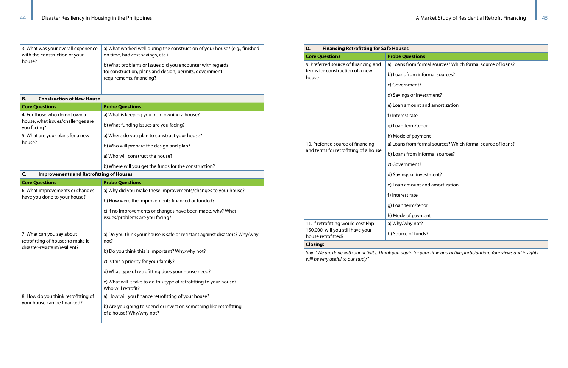| 3. What was your overall experience<br>with the construction of your<br>house? | a) What worked well during the construction of your house? (e.g., finished<br>on time, had cost savings, etc.)<br>b) What problems or issues did you encounter with regards |  |  |  |
|--------------------------------------------------------------------------------|-----------------------------------------------------------------------------------------------------------------------------------------------------------------------------|--|--|--|
|                                                                                | to: construction, plans and design, permits, government<br>requirements, financing?                                                                                         |  |  |  |
|                                                                                |                                                                                                                                                                             |  |  |  |

| <b>Construction of New House</b><br>В.                                                          |                                                                                               |
|-------------------------------------------------------------------------------------------------|-----------------------------------------------------------------------------------------------|
| <b>Core Questions</b>                                                                           | <b>Probe Questions</b>                                                                        |
| 4. For those who do not own a                                                                   | a) What is keeping you from owning a house?                                                   |
| house, what issues/challenges are<br>you facing?                                                | b) What funding issues are you facing?                                                        |
| 5. What are your plans for a new<br>house?                                                      | a) Where do you plan to construct your house?                                                 |
|                                                                                                 | b) Who will prepare the design and plan?                                                      |
|                                                                                                 | a) Who will construct the house?                                                              |
|                                                                                                 | b) Where will you get the funds for the construction?                                         |
| <b>Improvements and Retrofitting of Houses</b><br>C.                                            |                                                                                               |
| <b>Core Questions</b>                                                                           | <b>Probe Questions</b>                                                                        |
| 6. What improvements or changes<br>have you done to your house?                                 | a) Why did you make these improvements/changes to your house?                                 |
|                                                                                                 | b) How were the improvements financed or funded?                                              |
|                                                                                                 | c) If no improvements or changes have been made, why? What<br>issues/problems are you facing? |
| 7. What can you say about<br>retrofitting of houses to make it<br>disaster-resistant/resilient? | a) Do you think your house is safe or resistant against disasters? Why/why<br>not?            |
|                                                                                                 | b) Do you think this is important? Why/why not?                                               |
|                                                                                                 | c) Is this a priority for your family?                                                        |
|                                                                                                 | d) What type of retrofitting does your house need?                                            |
|                                                                                                 | e) What will it take to do this type of retrofitting to your house?<br>Who will retrofit?     |
| 8. How do you think retrofitting of                                                             | a) How will you finance retrofitting of your house?                                           |

| $\,$ 8. How do you think retrofitting of | a) How will you finance retrofitting of your house?                |
|------------------------------------------|--------------------------------------------------------------------|
| your house can be financed?              | b) Are you going to spend or invest on something like retrofitting |
|                                          | of a house? Why/why not?                                           |

| <b>Financing Retrofitting for Safe Houses</b><br>D.                        |                           |  |  |  |
|----------------------------------------------------------------------------|---------------------------|--|--|--|
| <b>Core Questions</b>                                                      | <b>Probe Questions</b>    |  |  |  |
| 9. Preferred source of financing and                                       | a) Loans from formal sour |  |  |  |
| terms for construction of a new<br>house                                   | b) Loans from informal so |  |  |  |
|                                                                            | c) Government?            |  |  |  |
|                                                                            | d) Savings or investment? |  |  |  |
|                                                                            | e) Loan amount and amor   |  |  |  |
|                                                                            | f) Interest rate          |  |  |  |
|                                                                            | g) Loan term/tenor        |  |  |  |
|                                                                            | h) Mode of payment        |  |  |  |
| 10. Preferred source of financing<br>and terms for retrofitting of a house | a) Loans from formal sour |  |  |  |
|                                                                            | b) Loans from informal so |  |  |  |
|                                                                            | c) Government?            |  |  |  |
|                                                                            | d) Savings or investment? |  |  |  |
|                                                                            | e) Loan amount and amor   |  |  |  |
|                                                                            | f) Interest rate          |  |  |  |
|                                                                            | g) Loan term/tenor        |  |  |  |
|                                                                            | h) Mode of payment        |  |  |  |
| 11. If retrofitting would cost Php                                         | a) Why/why not?           |  |  |  |
| 150,000, will you still have your<br>house retrofitted?                    | b) Source of funds?       |  |  |  |
| <b>Closing:</b>                                                            |                           |  |  |  |

| D.<br><b>Financing Retrofitting for Safe Houses</b>     |                                                                                                                      |
|---------------------------------------------------------|----------------------------------------------------------------------------------------------------------------------|
| <b>Core Questions</b>                                   | <b>Probe Questions</b>                                                                                               |
| 9. Preferred source of financing and                    | a) Loans from formal sources? Which formal source of loans?                                                          |
| terms for construction of a new<br>house                | b) Loans from informal sources?                                                                                      |
|                                                         | c) Government?                                                                                                       |
|                                                         | d) Savings or investment?                                                                                            |
|                                                         | e) Loan amount and amortization                                                                                      |
|                                                         | f) Interest rate                                                                                                     |
|                                                         | g) Loan term/tenor                                                                                                   |
|                                                         | h) Mode of payment                                                                                                   |
| 10. Preferred source of financing                       | a) Loans from formal sources? Which formal source of loans?                                                          |
| and terms for retrofitting of a house                   | b) Loans from informal sources?                                                                                      |
|                                                         | c) Government?                                                                                                       |
|                                                         | d) Savings or investment?                                                                                            |
|                                                         | e) Loan amount and amortization                                                                                      |
|                                                         | f) Interest rate                                                                                                     |
|                                                         | g) Loan term/tenor                                                                                                   |
|                                                         | h) Mode of payment                                                                                                   |
| 11. If retrofitting would cost Php                      | a) Why/why not?                                                                                                      |
| 150,000, will you still have your<br>house retrofitted? | b) Source of funds?                                                                                                  |
| <b>Closing:</b>                                         |                                                                                                                      |
|                                                         | Say: "We are done with our activity. Thank you again for your time and active participation. Your views and insights |
|                                                         |                                                                                                                      |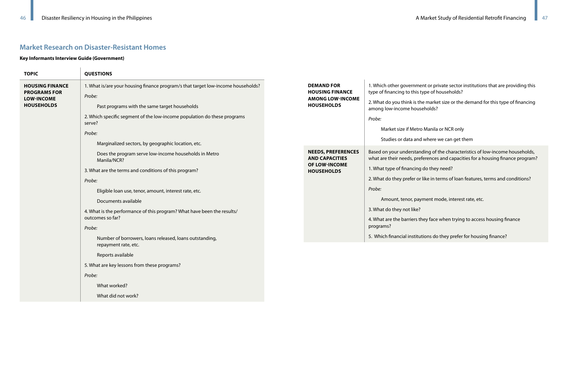# **Market Research on Disaster-Resistant Homes**

#### **Key Informants Interview Guide (Government)**

 $\overline{\phantom{a}}$ 

| <b>TOPIC</b>                                  | <b>QUESTIONS</b>                                                                            |                                                    |                                                         |
|-----------------------------------------------|---------------------------------------------------------------------------------------------|----------------------------------------------------|---------------------------------------------------------|
| <b>HOUSING FINANCE</b><br><b>PROGRAMS FOR</b> | 1. What is/are your housing finance program/s that target low-income households?<br>Probe:  | <b>DEMAND FOR</b><br><b>HOUSING FINANCE</b>        | 1. Which other governme<br>type of financing to this    |
| <b>LOW-INCOME</b><br><b>HOUSEHOLDS</b>        | Past programs with the same target households                                               | <b>AMONG LOW-INCOME</b><br><b>HOUSEHOLDS</b>       | 2. What do you think is th<br>among low-income hous     |
|                                               | 2. Which specific segment of the low-income population do these programs<br>serve?          |                                                    | Probe:                                                  |
|                                               | Probe:                                                                                      |                                                    | Market size if Metr                                     |
|                                               | Marginalized sectors, by geographic location, etc.                                          |                                                    | Studies or data and                                     |
|                                               | Does the program serve low-income households in Metro<br>Manila/NCR?                        | <b>NEEDS, PREFERENCES</b><br><b>AND CAPACITIES</b> | Based on your understar<br>what are their needs, pre    |
|                                               | 3. What are the terms and conditions of this program?                                       | OF LOW-INCOME<br><b>HOUSEHOLDS</b>                 | 1. What type of financing                               |
|                                               | Probe:                                                                                      |                                                    | 2. What do they prefer or                               |
|                                               | Eligible loan use, tenor, amount, interest rate, etc.                                       |                                                    | Probe:                                                  |
|                                               | Documents available                                                                         |                                                    | Amount, tenor, pay                                      |
|                                               | 4. What is the performance of this program? What have been the results/<br>outcomes so far? |                                                    | 3. What do they not like?<br>4. What are the barriers t |
|                                               | Probe:                                                                                      |                                                    | programs?                                               |
|                                               | Number of borrowers, loans released, loans outstanding,<br>repayment rate, etc.             |                                                    | 5. Which financial institu                              |
|                                               | Reports available                                                                           |                                                    |                                                         |
|                                               | 5. What are key lessons from these programs?                                                |                                                    |                                                         |
|                                               | Probe:                                                                                      |                                                    |                                                         |
|                                               | What worked?                                                                                |                                                    |                                                         |
|                                               | What did not work?                                                                          |                                                    |                                                         |

nent or private sector institutions that are providing this s type of households?

the market size or the demand for this type of financing useholds?

tro Manila or NCR only

nd where we can get them

anding of the characteristics of low-income households, references and capacities for a housing finance program?

1g do they need?

or like in terms of loan features, terms and conditions?

ayment mode, interest rate, etc.

they face when trying to access housing finance

tutions do they prefer for housing finance?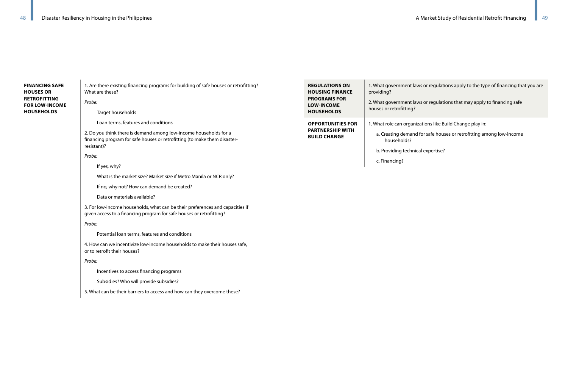# **FINANCING SAFE HOUSES OR RETROFITTING FOR LOW-INCOME HOUSEHOLDS**

1. Are there existing financing programs for building of safe houses or retrofitting? What are these? *Probe:*

Target households

Loan terms, features and conditions

2. Do you think there is demand among low-income households for a financing program for safe houses or retrofitting (to make them disasterresistant)?

*Probe:*

If yes, why?

What is the market size? Market size if Metro Manila or NCR only?

If no, why not? How can demand be created?

Data or materials available?

3. For low-income households, what can be their preferences and capacities if given access to a financing program for safe houses or retrofitting?

*Probe:*

Potential loan terms, features and conditions

| <b>REGULATIONS ON</b><br><b>HOUSING FINANCE</b><br><b>PROGRAMS FOR</b><br><b>LOW-INCOME</b><br><b>HOUSEHOLDS</b> | 1. What government law<br>providing?<br>2. What government law<br>houses or retrofitting?               |
|------------------------------------------------------------------------------------------------------------------|---------------------------------------------------------------------------------------------------------|
| <b>OPPORTUNITIES FOR</b><br><b>PARTNERSHIP WITH</b><br><b>BUILD CHANGE</b>                                       | 1. What role can organiz<br>a. Creating demand<br>households?<br>b. Providing technica<br>c. Financing? |

ws or regulations apply to the type of financing that you are

ws or regulations that may apply to financing safe

zations like Build Change play in:

for safe houses or retrofitting among low-income

cal expertise?

4. How can we incentivize low-income households to make their houses safe, or to retrofit their houses?

*Probe:*

Incentives to access financing programs

Subsidies? Who will provide subsidies?

5. What can be their barriers to access and how can they overcome these?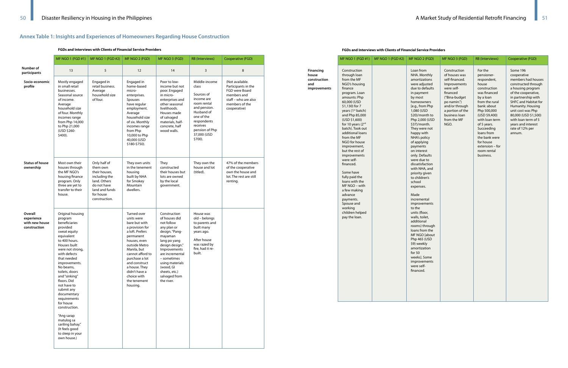# **Annex Table 1: Insights and Experiences of Homeowners Regarding House Construction**

**FGDs and Interviews with Clients of Financial Service Providers**

|                                                         | MF NGO 1 (FGD #1)                                                                                                                                                                                                                                                                                                                                                                                                                                         | MF NGO 1 (FGD #2)                                                                                                                         | MF NGO 2 (FGD)                                                                                                                                                                                                                                                                    | MF NGO 3 (FGD)                                                                                                                                                                                                                                               | <b>RB</b> (Interviews)                                                                                                                                                               | Cooperative (FGD)                                                                                                                 |
|---------------------------------------------------------|-----------------------------------------------------------------------------------------------------------------------------------------------------------------------------------------------------------------------------------------------------------------------------------------------------------------------------------------------------------------------------------------------------------------------------------------------------------|-------------------------------------------------------------------------------------------------------------------------------------------|-----------------------------------------------------------------------------------------------------------------------------------------------------------------------------------------------------------------------------------------------------------------------------------|--------------------------------------------------------------------------------------------------------------------------------------------------------------------------------------------------------------------------------------------------------------|--------------------------------------------------------------------------------------------------------------------------------------------------------------------------------------|-----------------------------------------------------------------------------------------------------------------------------------|
| Number of<br>participants                               | 13                                                                                                                                                                                                                                                                                                                                                                                                                                                        | 5                                                                                                                                         | 12                                                                                                                                                                                                                                                                                | 14                                                                                                                                                                                                                                                           | 3                                                                                                                                                                                    | 8                                                                                                                                 |
| Socio-economic<br>profile                               | Mostly engaged<br>in small retail<br>businesses.<br>Seasonal source<br>of income.<br>Average<br>household size<br>of four. Monthly<br>incomes range<br>from Php 14,000<br>to Php 21,000<br>(USD \$260-<br>\$400).                                                                                                                                                                                                                                         | Engaged in<br>retail business.<br>Average<br>household size<br>of four.                                                                   | Engaged in<br>home-based<br>micro-<br>enterprises.<br>Spouses<br>have regular<br>employment.<br>Average<br>household size<br>of six. Monthly<br>incomes range<br>from Php<br>10,000 to Php<br>40,000 (USD<br>\$180-\$750).                                                        | Poor to low-<br>income but not<br>poor. Engaged<br>in micro-<br>enterprises and<br>other seasonal<br>livelihoods.<br>Houses made<br>of salvaged<br>materials, half-<br>concrete, half<br>wood walls.                                                         | Middle-income<br>class<br>Sources of<br>income are<br>room rental<br>and pension.<br>Husband of<br>one of the<br>respondents<br>receives<br>pension of Php<br>37,000 (USD<br>\$700). | (Not available.<br>Participants in the<br>FGD were Board<br>members and<br>staff – who are also<br>members of the<br>cooperative) |
| <b>Status of house</b><br>ownership                     | Most own their<br>houses through<br>the MF NGO's<br>housing finance<br>program. Only<br>three are yet to<br>transfer to their<br>house.                                                                                                                                                                                                                                                                                                                   | Only half of<br>them own<br>their houses,<br>including the<br>land. Others<br>do not have<br>land and funds<br>for house<br>construction. | They own units<br>in the tenement<br>housing<br>built by NHA<br>for Smokey<br>Mountain<br>dwellers.                                                                                                                                                                               | They<br>constructed<br>their houses but<br>lots are owned<br>by the local<br>government.                                                                                                                                                                     | They own the<br>house and lot<br>(titled).                                                                                                                                           | 47% of the members<br>of the cooperative<br>own the house and<br>lot. The rest are still<br>renting.                              |
| Overall<br>experience<br>with new house<br>construction | Original housing<br>program<br>beneficiaries<br>provided<br>sweat equity<br>equivalent<br>to 400 hours.<br>Houses built<br>were not strong,<br>with defects<br>that needed<br>improvements.<br>No beams,<br>toilets, doors<br>and "sinking"<br>floors. Did<br>not have to<br>submit any<br>documentary<br>requirements<br>for house<br>construction.<br>"Ang sarap<br>matulog sa<br>sariling bahay."<br>(It feels good<br>to sleep in your<br>own house.) |                                                                                                                                           | Turned over<br>units were<br>bare but with<br>a provision for<br>a loft. Prefers<br>permanent<br>houses, even<br>outside Metro<br>Manila, but<br>cannot afford to<br>purchase a lot<br>and construct<br>a house. They<br>didn't have a<br>choice with<br>the tenement<br>housing. | Construction<br>of houses did<br>not follow<br>any plan or<br>design. "Pang-<br>mayaman<br>lang po yang<br>design design."<br>Improvements<br>are incremental<br>- sometimes<br>using materials<br>(wood, Gl<br>sheets, etc.)<br>salvaged from<br>the river. | House was<br>old - belongs<br>to parents and<br>built many<br>years ago.<br>After house<br>was razed by<br>fire, had it re-<br>built.                                                |                                                                                                                                   |

#### **FGDs and Interviews with Clients of Financial Service Providers**

MF NGO 1 (FGD #1)

**Financing house construction and** 

**improvements**

Construction through loan from the MF NGO's housing finance program. Loan amounts: Php 60,000 (USD \$1,130) for 7 years (1<sup>st</sup> batch) and Php 85,000 (USD \$1,600) for 10 years (2nd batch). Took out additional loans from the MF NGO for house improvement, but the rest of improvements were selffinanced. Some have fully paid the loans with the MF NGO – with a few making advance payments. Spouse and working children helped pay the loan.

| <b>MF NGO 1 (FGD #2)</b> | MF NGO 2 (FGD)                                                                                                                                                                                                                                                                                                                                                                                                                                                                                                                                                                                                                                                                                                  | MF NGO 3 (FGD)                                                                                                                                                                                                 | <b>RB</b> (Interviews)                                                                                                                                                                                                                                                                                | Cooperative (FGD)                                                                                                                                                                                                                                                                                           |
|--------------------------|-----------------------------------------------------------------------------------------------------------------------------------------------------------------------------------------------------------------------------------------------------------------------------------------------------------------------------------------------------------------------------------------------------------------------------------------------------------------------------------------------------------------------------------------------------------------------------------------------------------------------------------------------------------------------------------------------------------------|----------------------------------------------------------------------------------------------------------------------------------------------------------------------------------------------------------------|-------------------------------------------------------------------------------------------------------------------------------------------------------------------------------------------------------------------------------------------------------------------------------------------------------|-------------------------------------------------------------------------------------------------------------------------------------------------------------------------------------------------------------------------------------------------------------------------------------------------------------|
|                          | Loan from<br>NHA. Monthly<br>amortizations<br>were adjusted<br>due to defaults<br>in payment<br>by most<br>homeowners<br>[e.g., from Php<br>1,080 (USD<br>\$20)/month to<br>Php 2,000 (USD<br>\$37)/month.<br>They were not<br>happy with<br>NHA's policy<br>of applying<br>payments<br>on interest<br>only. Defaults<br>were due to<br>dissatisfaction<br>with NHA, and<br>priority given<br>to children's<br>school<br>expenses.<br>Made<br>incremental<br>improvements<br>to the<br>units (floor,<br>walls, toilet,<br>additional<br>rooms) through<br>loans from the<br>MF NGO [about<br>Php 465 (USD<br>\$9) weekly<br>amortization<br>for $50$<br>weeks]. Some<br>improvements<br>were self-<br>financed. | Construction<br>of houses was<br>self-financed.<br><b>Improvements</b><br>were self-<br>financed<br>("Bina-budget<br>po namin.")<br>and/or through<br>a portion of the<br>business loan<br>from the MF<br>NGO. | For the<br>pensioner-<br>respondent,<br>house<br>construction<br>was financed<br>by a loan<br>from the rural<br>bank: about<br>Php 500,000<br>(USD \$9,400)<br>with loan term<br>of 5 years.<br>Succeeding<br>loans from<br>the bank were<br>for house<br>extension – for<br>room rental<br>business. | Some 196<br>cooperative<br>members had houses<br>constructed through<br>a housing program<br>of the cooperative,<br>in partnership with<br>SHFC and Habitat for<br>Humanity. Housing<br>unit cost was Php<br>80,000 (USD \$1,500)<br>with loan term of 5<br>years and interest<br>rate of 12% per<br>annum. |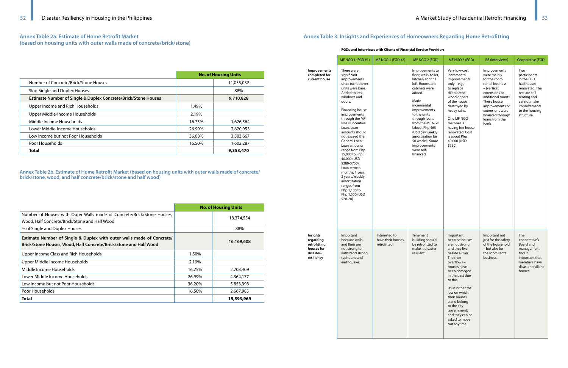# **Annex Table 2a. Estimate of Home Retrofit Market (based on housing units with outer walls made of concrete/brick/stone)**

|                                                                           | <b>No. of Housing Units</b> |            |  |
|---------------------------------------------------------------------------|-----------------------------|------------|--|
| Number of Concrete/Brick/Stone Houses                                     |                             | 11,035,032 |  |
| % of Single and Duplex Houses                                             |                             | 88%        |  |
| <b>Estimate Number of Single &amp; Duplex Concrete/Brick/Stone Houses</b> |                             | 9,710,828  |  |
| Upper Income and Rich Households                                          | 1.49%                       |            |  |
| Upper Middle-Income Households                                            | 2.19%                       |            |  |
| Middle Income Households                                                  | 16.75%                      | 1,626,564  |  |
| Lower Middle-Income Households                                            | 26.99%                      | 2,620,953  |  |
| Low Income but not Poor Households                                        | 36.08%                      | 3,503,667  |  |
| Poor Households                                                           | 16.50%                      | 1,602,287  |  |
| Total                                                                     |                             | 9,353,470  |  |

**Annex Table 2b. Estimate of Home Retrofit Market (based on housing units with outer walls made of concrete/ brick/stone, wood, and half concrete/brick/stone and half wood)**

|                                                                                                                                            | <b>No. of Housing Units</b> |            |  |
|--------------------------------------------------------------------------------------------------------------------------------------------|-----------------------------|------------|--|
| Number of Houses with Outer Walls made of Concrete/Brick/Stone Houses,<br>Wood, Half Concrete/Brick/Stone and Half Wood                    |                             | 18,374,554 |  |
| % of Single and Duplex Houses                                                                                                              |                             | 88%        |  |
| Estimate Number of Single & Duplex with outer walls made of Concrete/<br>Brick/Stone Houses, Wood, Half Concrete/Brick/Stone and Half Wood |                             | 16,169,608 |  |
| Upper Income Class and Rich Households                                                                                                     | 1.50%                       |            |  |
| Upper Middle Income Households                                                                                                             | 2.19%                       |            |  |
| Middle Income Households                                                                                                                   | 16.75%                      | 2,708,409  |  |
| Lower Middle Income Households                                                                                                             | 26.99%                      | 4,364,177  |  |
| Low Income but not Poor Households                                                                                                         | 36.20%                      | 5,853,398  |  |
| Poor Households                                                                                                                            | 16.50%                      | 2,667,985  |  |
| Total                                                                                                                                      |                             | 15,593,969 |  |

# **Annex Table 3: Insights and Experiences of Homeowners Regarding Home Retrofitting**

#### **FGDs and Interviews with Clients of Financial Service Providers**

|                                                                                       | MF NGO 1 (FGD #1)                                                                                                                                                                                                                                                                                                                                                                                                                                                                                 | <b>MF NGO 1 (FGD #2)</b>                           | MF NGO 2 (FGD)                                                                                                                                                                                                                                                                                                               | MF NGO 3 (FGD)                                                                                                                                                                                                                                                                                                                    | <b>RB</b> (Interviews)                                                                                                                                                                                                   | Cooperative (FGD)                                                                                                                                                 |
|---------------------------------------------------------------------------------------|---------------------------------------------------------------------------------------------------------------------------------------------------------------------------------------------------------------------------------------------------------------------------------------------------------------------------------------------------------------------------------------------------------------------------------------------------------------------------------------------------|----------------------------------------------------|------------------------------------------------------------------------------------------------------------------------------------------------------------------------------------------------------------------------------------------------------------------------------------------------------------------------------|-----------------------------------------------------------------------------------------------------------------------------------------------------------------------------------------------------------------------------------------------------------------------------------------------------------------------------------|--------------------------------------------------------------------------------------------------------------------------------------------------------------------------------------------------------------------------|-------------------------------------------------------------------------------------------------------------------------------------------------------------------|
| Improvements<br>completed for<br>current house                                        | There were<br>significant<br>improvements<br>since turned over<br>units were bare.<br>Added toilets,<br>windows and<br>doors.<br>Financing house<br>improvements<br>through the MF<br>NGO's Incentive<br>Loan. Loan<br>amounts should<br>not exceed the<br>General Loan.<br>Loan amounts<br>range from Php<br>15,000 to Php<br>40,000 (USD<br>\$280-\$750).<br>Loan term: 6<br>months, 1 year,<br>2 years. Weekly<br>amortization<br>ranges from<br>Php 1,100 to<br>Php 1,500 (USD<br>$$20-28$ ). |                                                    | Improvements to<br>floor, walls, toilet,<br>kitchen and the<br>loft. Rooms and<br>cabinets were<br>added.<br>Made<br>incremental<br>improvements<br>to the units<br>through loans<br>from the MF NGO<br>[about Php 465<br>(USD \$9) weekly<br>amortization for<br>50 weeks]. Some<br>improvements<br>were self-<br>financed. | Very low-cost,<br>incremental<br>improvements<br>only $-$ e.g.,<br>to replace<br>dilapidated<br>wood or part<br>of the house<br>destroyed by<br>heavy rains.<br>One MF NGO<br>member is<br>having her house<br>renovated. Cost<br>is about Php<br>40,000 (USD<br>\$750).                                                          | Improvements<br>were mainly<br>for the room<br>rental business<br>- (vertical)<br>extensions or<br>additional rooms.<br>These house<br>improvements or<br>extensions were<br>financed through<br>loans from the<br>bank. | Two<br>participants<br>in the FGD<br>had houses<br>renovated. The<br>rest are still<br>renting and<br>cannot make<br>improvements<br>to the housing<br>structure. |
| <b>Insights</b><br>regarding<br>retrofitting<br>houses for<br>disaster-<br>resiliency | Important<br>because walls<br>and floor are<br>not strong to<br>withstand strong<br>typhoons and<br>earthquake.                                                                                                                                                                                                                                                                                                                                                                                   | Interested to<br>have their houses<br>retrofitted. | Tenement<br>building should<br>be retrofitted to<br>make it disaster<br>resilient.                                                                                                                                                                                                                                           | Important<br>because houses<br>are not strong<br>and they live<br>beside a river.<br>The river<br>overflows<br>houses have<br>been damaged<br>in the past due<br>to this.<br>Issue is that the<br>lots on which<br>their houses<br>stand belong<br>to the city<br>government,<br>and they can be<br>asked to move<br>out anytime. | Important not<br>just for the safety<br>of the household<br>- but also for<br>the room rental<br>business.                                                                                                               | The<br>cooperative's<br>Board and<br>management<br>find it<br>important that<br>members have<br>disaster resilient<br>homes.                                      |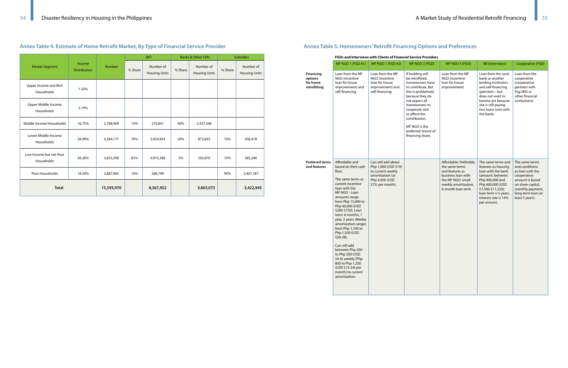# **Annex Table 4. Estimate of Home Retrofit Market, By Type of Financial Service Provider**

|                                       | Income<br><b>Distribution</b> |               | <b>MFI</b> |                                   | <b>Banks &amp; Other FSPs</b> |                                   | <b>Subsidies</b> |                                   |
|---------------------------------------|-------------------------------|---------------|------------|-----------------------------------|-------------------------------|-----------------------------------|------------------|-----------------------------------|
| <b>Market Segment</b>                 |                               | <b>Number</b> | % Share    | Number of<br><b>Housing Units</b> | % Share                       | Number of<br><b>Housing Units</b> | % Share          | Number of<br><b>Housing Units</b> |
| Upper Income and Rich<br>Households   | 1.50%                         |               |            |                                   |                               |                                   |                  |                                   |
| Upper Middle-Income<br>Households     | 2.19%                         |               |            |                                   |                               |                                   |                  |                                   |
| Middle Income Households              | 16.75%                        | 2,708,409     | 10%        | 270,841                           | 90%                           | 2,437,568                         |                  |                                   |
| Lower Middle-Income<br>Households     | 26.99%                        | 4,364,177     | 70%        | 3,054,924                         | 20%                           | 872,835                           | 10%              | 436,418                           |
| Low Income but not Poor<br>Households | 36.20%                        | 5,853,398     | 85%        | 4,975,388                         | 5%                            | 292,670                           | 10%              | 585,340                           |
| Poor Households                       | 16.50%                        | 2,667,985     | 10%        | 266,799                           |                               |                                   | 90%              | 2,401,187                         |
| <b>Total</b>                          |                               | 15,593,970    |            | 8,567,952                         |                               | 3,603,073                         |                  | 3,422,945                         |

# **Annex Table 5: Homeowners' Retrofit Financing Options and Preferences**

#### **FGDs and Interviews with Clients of Financial Service Providers**

|                                                         | MF NGO 1 (FGD #1)                                                                                                                                                                                                                                                                                                                                                                                                                                                                                 | MF NGO 1 (FGD #2)                                                                                                           | MF NGO 2 (FGD)                                                                                                                                                                                                                                                            | MF NGO 3 (FGD)                                                                                                                                       | <b>RB</b> (Interviews)                                                                                                                                                                                            | Cooperative (FGD)                                                                                                                                                         |
|---------------------------------------------------------|---------------------------------------------------------------------------------------------------------------------------------------------------------------------------------------------------------------------------------------------------------------------------------------------------------------------------------------------------------------------------------------------------------------------------------------------------------------------------------------------------|-----------------------------------------------------------------------------------------------------------------------------|---------------------------------------------------------------------------------------------------------------------------------------------------------------------------------------------------------------------------------------------------------------------------|------------------------------------------------------------------------------------------------------------------------------------------------------|-------------------------------------------------------------------------------------------------------------------------------------------------------------------------------------------------------------------|---------------------------------------------------------------------------------------------------------------------------------------------------------------------------|
| <b>Financing</b><br>options<br>for home<br>retrofitting | Loan from the MF<br>NGO (incentive<br>loan for house<br>improvement) and<br>self-financing.                                                                                                                                                                                                                                                                                                                                                                                                       | Loan from the MF<br>NGO (incentive<br>loan for house<br>improvement) and<br>self-financing.                                 | If building will<br>be retrofitted,<br>homeowners have<br>to contribute. But<br>this is problematic<br>because they do<br>not expect all<br>homeowners to<br>cooperate and<br>to afford the<br>contribution.<br>MF NGO is the<br>preferred source of<br>financing (loan). | Loan from the MF<br>NGO (incentive<br>loan for house<br>improvement).                                                                                | Loan from the rural<br>bank or another<br>lending institution<br>and self-financing<br>(pension) – but<br>does not want to<br>borrow yet because<br>she is still paying<br>two loans (one with<br>the bank).      | Loan from the<br>cooperative<br>(cooperative<br>partners with<br>Pag-IBIG or<br>other financial<br>institutions).                                                         |
| <b>Preferred terms</b><br>and features                  | Affordable and<br>based on their cash<br>flow.<br>The same terms as<br>current incentive<br>loan with the<br>MF NGO - Loan<br>amounts range<br>from Php 15,000 to<br>Php 40,000 (USD<br>\$280-\$750). Loan<br>term: 6 months, 1<br>year, 2 years. Weekly<br>amortization ranges<br>from Php 1,100 to<br>Php 1,500 (USD<br>$$20-28$ ).<br>Can still add<br>between Php 200<br>to Php 300 (USD<br>\$4-6) weekly [Php<br>800 to Php 1,200<br>(USD \$15-24) per<br>month] to current<br>amortization. | Can still add about<br>Php 1,000 (USD \$19)<br>to current weekly<br>amortization (or<br>Php 4,000 (USD<br>\$75) per month). |                                                                                                                                                                                                                                                                           | Affordable. Preferably<br>the same terms<br>and features as<br>business loan with<br>the MF NGO: small<br>weekly amortization,<br>6-month loan term. | The same terms and<br>features as housing<br>loan with the bank<br>(amount: between)<br>Php 400,000 and<br>Php 600,000 (USD<br>\$7,500-\$11,320);<br>loan term is 5 years;<br>interest rate is 14%<br>per annum). | The same terms<br>and conditions<br>as loan with the<br>cooperative:<br>amount is based<br>on share capital,<br>monthly payment,<br>long-term loan (at<br>least 5 years). |